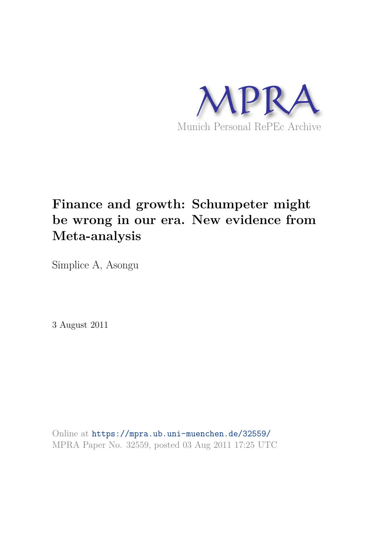

# **Finance and growth: Schumpeter might be wrong in our era. New evidence from Meta-analysis**

Simplice A, Asongu

3 August 2011

Online at https://mpra.ub.uni-muenchen.de/32559/ MPRA Paper No. 32559, posted 03 Aug 2011 17:25 UTC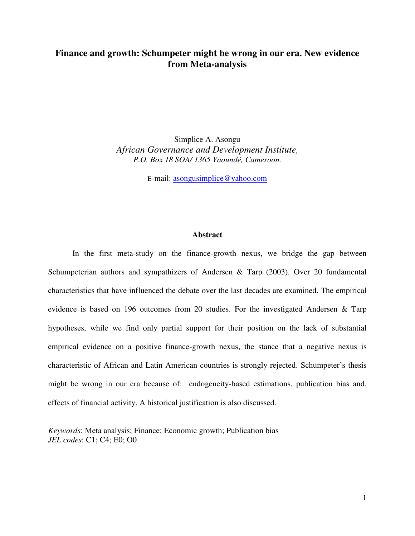## **Finance and growth: Schumpeter might be wrong in our era. New evidence from Meta-analysis**

Simplice A. Asongu *African Governance and Development Institute, P.O. Box 18 SOA/ 1365 Yaoundé, Cameroon.* 

E-mail: [asongusimplice@yahoo.com](mailto:asongusimplice@yahoo.com)

## **Abstract**

In the first meta-study on the finance-growth nexus, we bridge the gap between Schumpeterian authors and sympathizers of Andersen & Tarp (2003). Over 20 fundamental characteristics that have influenced the debate over the last decades are examined. The empirical evidence is based on 196 outcomes from 20 studies. For the investigated Andersen & Tarp hypotheses, while we find only partial support for their position on the lack of substantial empirical evidence on a positive finance-growth nexus, the stance that a negative nexus is characteristic of African and Latin American countries is strongly rejected. Schumpeter's thesis might be wrong in our era because of: endogeneity-based estimations, publication bias and, effects of financial activity. A historical justification is also discussed.

*Keywords*: Meta analysis; Finance; Economic growth; Publication bias *JEL codes*: C1; C4; E0; O0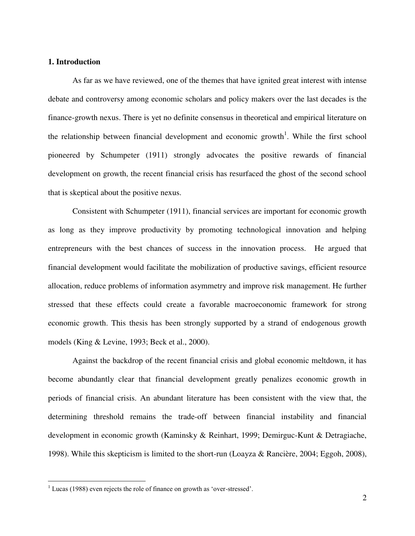### **1. Introduction**

 As far as we have reviewed, one of the themes that have ignited great interest with intense debate and controversy among economic scholars and policy makers over the last decades is the finance-growth nexus. There is yet no definite consensus in theoretical and empirical literature on the relationship between financial development and economic growth<sup>1</sup>. While the first school pioneered by Schumpeter (1911) strongly advocates the positive rewards of financial development on growth, the recent financial crisis has resurfaced the ghost of the second school that is skeptical about the positive nexus.

 Consistent with Schumpeter (1911), financial services are important for economic growth as long as they improve productivity by promoting technological innovation and helping entrepreneurs with the best chances of success in the innovation process. He argued that financial development would facilitate the mobilization of productive savings, efficient resource allocation, reduce problems of information asymmetry and improve risk management. He further stressed that these effects could create a favorable macroeconomic framework for strong economic growth. This thesis has been strongly supported by a strand of endogenous growth models (King & Levine, 1993; Beck et al., 2000).

 Against the backdrop of the recent financial crisis and global economic meltdown, it has become abundantly clear that financial development greatly penalizes economic growth in periods of financial crisis. An abundant literature has been consistent with the view that, the determining threshold remains the trade-off between financial instability and financial development in economic growth (Kaminsky & Reinhart, 1999; Demirguc-Kunt & Detragiache, 1998). While this skepticism is limited to the short-run (Loayza & Rancière, 2004; Eggoh, 2008),

 $\overline{a}$ 

 $1$  Lucas (1988) even rejects the role of finance on growth as 'over-stressed'.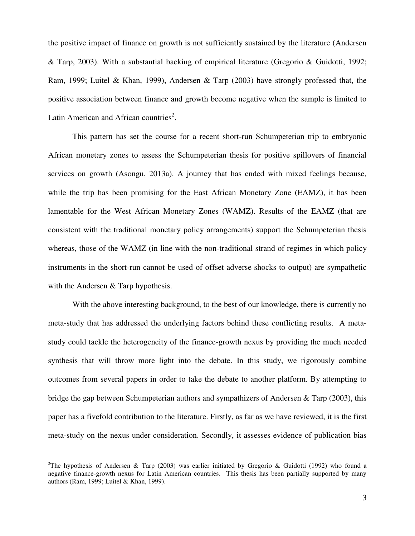the positive impact of finance on growth is not sufficiently sustained by the literature (Andersen & Tarp, 2003). With a substantial backing of empirical literature (Gregorio & Guidotti, 1992; Ram, 1999; Luitel & Khan, 1999), Andersen & Tarp (2003) have strongly professed that, the positive association between finance and growth become negative when the sample is limited to Latin American and African countries<sup>2</sup>.

This pattern has set the course for a recent short-run Schumpeterian trip to embryonic African monetary zones to assess the Schumpeterian thesis for positive spillovers of financial services on growth (Asongu, 2013a). A journey that has ended with mixed feelings because, while the trip has been promising for the East African Monetary Zone (EAMZ), it has been lamentable for the West African Monetary Zones (WAMZ). Results of the EAMZ (that are consistent with the traditional monetary policy arrangements) support the Schumpeterian thesis whereas, those of the WAMZ (in line with the non-traditional strand of regimes in which policy instruments in the short-run cannot be used of offset adverse shocks to output) are sympathetic with the Andersen & Tarp hypothesis.

With the above interesting background, to the best of our knowledge, there is currently no meta-study that has addressed the underlying factors behind these conflicting results. A metastudy could tackle the heterogeneity of the finance-growth nexus by providing the much needed synthesis that will throw more light into the debate. In this study, we rigorously combine outcomes from several papers in order to take the debate to another platform. By attempting to bridge the gap between Schumpeterian authors and sympathizers of Andersen & Tarp (2003), this paper has a fivefold contribution to the literature. Firstly, as far as we have reviewed, it is the first meta-study on the nexus under consideration. Secondly, it assesses evidence of publication bias

 $\overline{a}$ 

<sup>&</sup>lt;sup>2</sup>The hypothesis of Andersen & Tarp (2003) was earlier initiated by Gregorio & Guidotti (1992) who found a negative finance-growth nexus for Latin American countries. This thesis has been partially supported by many authors (Ram, 1999; Luitel & Khan, 1999).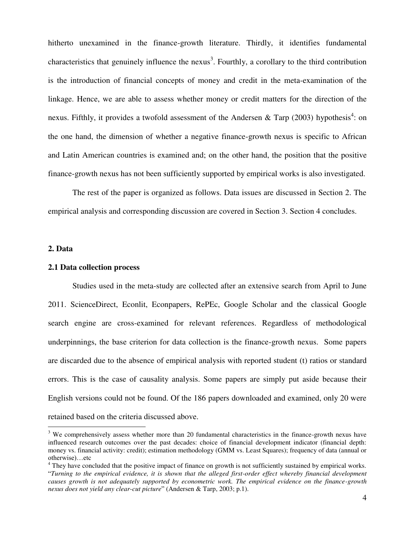hitherto unexamined in the finance-growth literature. Thirdly, it identifies fundamental characteristics that genuinely influence the nexus<sup>3</sup>. Fourthly, a corollary to the third contribution is the introduction of financial concepts of money and credit in the meta-examination of the linkage. Hence, we are able to assess whether money or credit matters for the direction of the nexus. Fifthly, it provides a twofold assessment of the Andersen & Tarp (2003) hypothesis<sup>4</sup>: on the one hand, the dimension of whether a negative finance-growth nexus is specific to African and Latin American countries is examined and; on the other hand, the position that the positive finance-growth nexus has not been sufficiently supported by empirical works is also investigated.

 The rest of the paper is organized as follows. Data issues are discussed in Section 2. The empirical analysis and corresponding discussion are covered in Section 3. Section 4 concludes.

#### **2. Data**

 $\overline{a}$ 

#### **2.1 Data collection process**

 Studies used in the meta-study are collected after an extensive search from April to June 2011. ScienceDirect, Econlit, Econpapers, RePEc, Google Scholar and the classical Google search engine are cross-examined for relevant references. Regardless of methodological underpinnings, the base criterion for data collection is the finance-growth nexus. Some papers are discarded due to the absence of empirical analysis with reported student (t) ratios or standard errors. This is the case of causality analysis. Some papers are simply put aside because their English versions could not be found. Of the 186 papers downloaded and examined, only 20 were retained based on the criteria discussed above.

 $3$  We comprehensively assess whether more than 20 fundamental characteristics in the finance-growth nexus have influenced research outcomes over the past decades: choice of financial development indicator (financial depth: money vs. financial activity: credit); estimation methodology (GMM vs. Least Squares); frequency of data (annual or otherwise)…etc

<sup>&</sup>lt;sup>4</sup> They have concluded that the positive impact of finance on growth is not sufficiently sustained by empirical works. "*Turning to the empirical evidence, it is shown that the alleged first-order effect whereby financial development causes growth is not adequately supported by econometric work. The empirical evidence on the finance-growth nexus does not yield any clear-cut picture*" (Andersen & Tarp, 2003; p.1).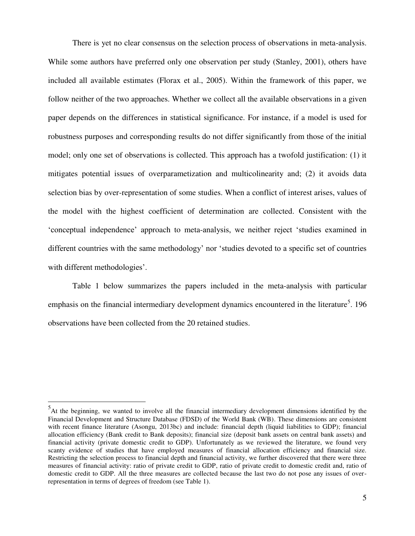There is yet no clear consensus on the selection process of observations in meta-analysis. While some authors have preferred only one observation per study (Stanley, 2001), others have included all available estimates (Florax et al., 2005). Within the framework of this paper, we follow neither of the two approaches. Whether we collect all the available observations in a given paper depends on the differences in statistical significance. For instance, if a model is used for robustness purposes and corresponding results do not differ significantly from those of the initial model; only one set of observations is collected. This approach has a twofold justification: (1) it mitigates potential issues of overparametization and multicolinearity and; (2) it avoids data selection bias by over-representation of some studies. When a conflict of interest arises, values of the model with the highest coefficient of determination are collected. Consistent with the 'conceptual independence' approach to meta-analysis, we neither reject 'studies examined in different countries with the same methodology' nor 'studies devoted to a specific set of countries with different methodologies'.

 Table 1 below summarizes the papers included in the meta-analysis with particular emphasis on the financial intermediary development dynamics encountered in the literature<sup>5</sup>. 196 observations have been collected from the 20 retained studies.

 $\overline{\phantom{a}}$ 

<sup>&</sup>lt;sup>5</sup>At the beginning, we wanted to involve all the financial intermediary development dimensions identified by the Financial Development and Structure Database (FDSD) of the World Bank (WB). These dimensions are consistent with recent finance literature (Asongu, 2013bc) and include: financial depth (liquid liabilities to GDP); financial allocation efficiency (Bank credit to Bank deposits); financial size (deposit bank assets on central bank assets) and financial activity (private domestic credit to GDP). Unfortunately as we reviewed the literature, we found very scanty evidence of studies that have employed measures of financial allocation efficiency and financial size. Restricting the selection process to financial depth and financial activity, we further discovered that there were three measures of financial activity: ratio of private credit to GDP, ratio of private credit to domestic credit and, ratio of domestic credit to GDP. All the three measures are collected because the last two do not pose any issues of overrepresentation in terms of degrees of freedom (see Table 1).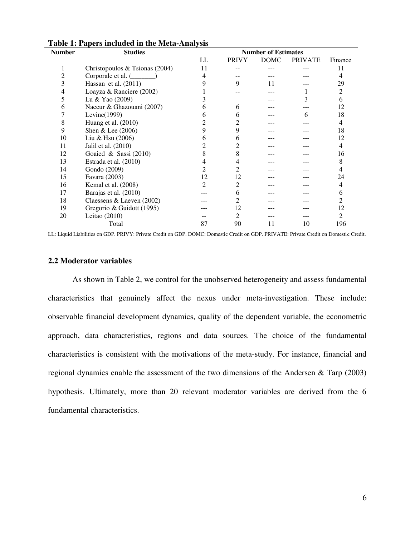| <b>Number</b> | <b>Studies</b>                 |    |              | <b>Number of Estimates</b> |                |         |
|---------------|--------------------------------|----|--------------|----------------------------|----------------|---------|
|               |                                | LL | <b>PRIVY</b> | <b>DOMC</b>                | <b>PRIVATE</b> | Finance |
|               | Christopoulos & Tsionas (2004) | 11 |              |                            |                | 11      |
|               | Corporale et al. (             |    |              |                            |                | 4       |
| 3             | Hassan et al. $(2011)$         |    | 9            | 11                         |                | 29      |
| 4             | Loayza & Ranciere (2002)       |    |              |                            |                | 2       |
| 5             | Lu & Yao (2009)                |    |              |                            | 3              | 6       |
| 6             | Naceur & Ghazouani (2007)      |    | 6            |                            |                | 12      |
|               | Levine $(1999)$                |    | h            |                            | 6              | 18      |
| 8             | Huang et al. (2010)            |    |              |                            |                | 4       |
| 9             | Shen & Lee (2006)              |    | 9            |                            |                | 18      |
| 10            | Liu & Hsu (2006)               |    | 6            |                            |                | 12      |
| 11            | Jalil et al. (2010)            |    |              |                            |                | 4       |
| 12            | Goaied & Sassi $(2010)$        |    |              |                            |                | 16      |
| 13            | Estrada et al. (2010)          |    |              |                            |                | 8       |
| 14            | Gondo (2009)                   |    |              |                            |                | 4       |
| 15            | Favara (2003)                  | 12 | 12           |                            |                | 24      |
| 16            | Kemal et al. (2008)            | 2  | 2            |                            |                | 4       |
| 17            | Barajas et al. (2010)          |    | h            |                            |                | 6       |
| 18            | Claessens & Laeven (2002)      |    |              |                            |                | 2       |
| 19            | Gregorio & Guidott (1995)      |    | 12           |                            |                | 12      |
| 20            | Leitao $(2010)$                |    | 2            |                            |                | 2       |
|               | Total                          | 87 | 90           | 11                         | 10             | 196     |

#### **Table 1: Papers included in the Meta-Analysis**

LL: Liquid Liabilities on GDP. PRIVY: Private Credit on GDP. DOMC: Domestic Credit on GDP. PRIVATE: Private Credit on Domestic Credit.

## **2.2 Moderator variables**

 As shown in Table 2, we control for the unobserved heterogeneity and assess fundamental characteristics that genuinely affect the nexus under meta-investigation. These include: observable financial development dynamics, quality of the dependent variable, the econometric approach, data characteristics, regions and data sources. The choice of the fundamental characteristics is consistent with the motivations of the meta-study. For instance, financial and regional dynamics enable the assessment of the two dimensions of the Andersen & Tarp (2003) hypothesis. Ultimately, more than 20 relevant moderator variables are derived from the 6 fundamental characteristics.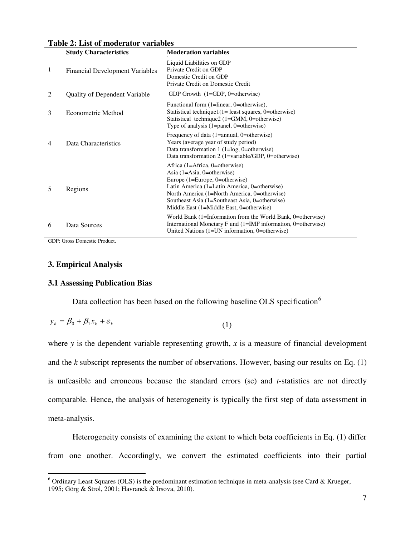|   | <b>Study Characteristics</b>           | <b>Moderation variables</b>                                                                                                                                                                                                                                                                    |
|---|----------------------------------------|------------------------------------------------------------------------------------------------------------------------------------------------------------------------------------------------------------------------------------------------------------------------------------------------|
| 1 | <b>Financial Development Variables</b> | Liquid Liabilities on GDP<br>Private Credit on GDP<br>Domestic Credit on GDP<br>Private Credit on Domestic Credit                                                                                                                                                                              |
| 2 | <b>Quality of Dependent Variable</b>   | GDP Growth $(1 = GDP, 0 = otherwise)$                                                                                                                                                                                                                                                          |
| 3 | Econometric Method                     | Functional form (1=linear, 0=otherwise),<br>Statistical technique $1(1 =$ least squares, 0=otherwise)<br>Statistical technique2 (1=GMM, 0=otherwise)<br>Type of analysis $(1=panel, 0=otherwise)$                                                                                              |
| 4 | Data Characteristics                   | Frequency of data (1=annual, 0=otherwise)<br>Years (average year of study period)<br>Data transformation $1$ (1=log, 0=otherwise)<br>Data transformation 2 (1=variable/GDP, 0=otherwise)                                                                                                       |
| 5 | Regions                                | Africa (1=Africa, 0=otherwise)<br>Asia $(1=Asia, 0=otherwise)$<br>Europe (1=Europe, 0=otherwise)<br>Latin America (1=Latin America, 0=otherwise)<br>North America (1=North America, 0=otherwise)<br>Southeast Asia (1=Southeast Asia, 0=otherwise)<br>Middle East (1=Middle East, 0=otherwise) |
| 6 | Data Sources                           | World Bank (1=Information from the World Bank, 0=otherwise)<br>International Monetary F und (1=IMF information, 0=otherwise)<br>United Nations (1=UN information, 0=otherwise)                                                                                                                 |

**Table 2: List of moderator variables** 

GDP: Gross Domestic Product.

## **3. Empirical Analysis**

 $\overline{a}$ 

## **3.1 Assessing Publication Bias**

Data collection has been based on the following baseline OLS specification<sup>6</sup>

$$
y_k = \beta_0 + \beta_1 x_k + \varepsilon_k \tag{1}
$$

where  $y$  is the dependent variable representing growth,  $x$  is a measure of financial development and the *k* subscript represents the number of observations. However, basing our results on Eq. (1) is unfeasible and erroneous because the standard errors (se) and *t*-statistics are not directly comparable. Hence, the analysis of heterogeneity is typically the first step of data assessment in meta-analysis.

 Heterogeneity consists of examining the extent to which beta coefficients in Eq. (1) differ from one another. Accordingly, we convert the estimated coefficients into their partial

 $6$  Ordinary Least Squares (OLS) is the predominant estimation technique in meta-analysis (see Card & Krueger, 1995; Görg & Strol, 2001; Havranek & Irsova, 2010).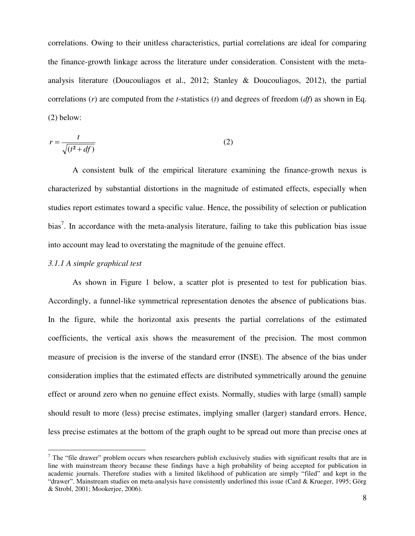correlations. Owing to their unitless characteristics, partial correlations are ideal for comparing the finance-growth linkage across the literature under consideration. Consistent with the metaanalysis literature (Doucouliagos et al., 2012; Stanley & Doucouliagos, 2012), the partial correlations (*r*) are computed from the *t*-statistics (*t*) and degrees of freedom (*df*) as shown in Eq. (2) below:

$$
r = \frac{t}{\sqrt{(t^2 + df)}}
$$
 (2)

 A consistent bulk of the empirical literature examining the finance-growth nexus is characterized by substantial distortions in the magnitude of estimated effects, especially when studies report estimates toward a specific value. Hence, the possibility of selection or publication bias<sup>7</sup>. In accordance with the meta-analysis literature, failing to take this publication bias issue into account may lead to overstating the magnitude of the genuine effect.

#### *3.1.1 A simple graphical test*

 $\overline{a}$ 

 As shown in Figure 1 below, a scatter plot is presented to test for publication bias. Accordingly, a funnel-like symmetrical representation denotes the absence of publications bias. In the figure, while the horizontal axis presents the partial correlations of the estimated coefficients, the vertical axis shows the measurement of the precision. The most common measure of precision is the inverse of the standard error (INSE). The absence of the bias under consideration implies that the estimated effects are distributed symmetrically around the genuine effect or around zero when no genuine effect exists. Normally, studies with large (small) sample should result to more (less) precise estimates, implying smaller (larger) standard errors. Hence, less precise estimates at the bottom of the graph ought to be spread out more than precise ones at

 $7$  The "file drawer" problem occurs when researchers publish exclusively studies with significant results that are in line with mainstream theory because these findings have a high probability of being accepted for publication in academic journals. Therefore studies with a limited likelihood of publication are simply "filed" and kept in the "drawer". Mainstream studies on meta-analysis have consistently underlined this issue (Card & Krueger, 1995; Görg & Strobl, 2001; Mookerjee, 2006).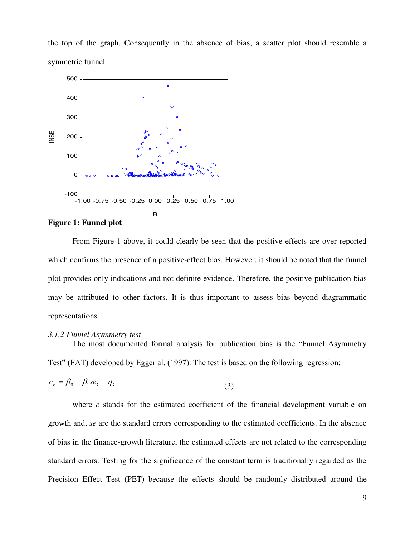the top of the graph. Consequently in the absence of bias, a scatter plot should resemble a symmetric funnel.



#### **Figure 1: Funnel plot**

 From Figure 1 above, it could clearly be seen that the positive effects are over-reported which confirms the presence of a positive-effect bias. However, it should be noted that the funnel plot provides only indications and not definite evidence. Therefore, the positive-publication bias may be attributed to other factors. It is thus important to assess bias beyond diagrammatic representations.

#### *3.1.2 Funnel Asymmetry test*

The most documented formal analysis for publication bias is the "Funnel Asymmetry Test" (FAT) developed by Egger al. (1997). The test is based on the following regression:

$$
c_k = \beta_0 + \beta_1 s e_k + \eta_k \tag{3}
$$

where *c* stands for the estimated coefficient of the financial development variable on growth and, *se* are the standard errors corresponding to the estimated coefficients. In the absence of bias in the finance-growth literature, the estimated effects are not related to the corresponding standard errors. Testing for the significance of the constant term is traditionally regarded as the Precision Effect Test (PET) because the effects should be randomly distributed around the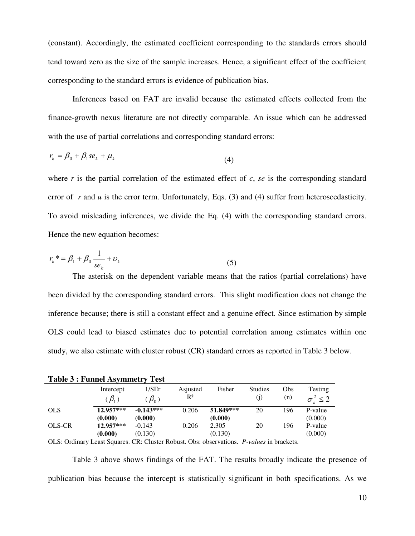(constant). Accordingly, the estimated coefficient corresponding to the standards errors should tend toward zero as the size of the sample increases. Hence, a significant effect of the coefficient corresponding to the standard errors is evidence of publication bias.

Inferences based on FAT are invalid because the estimated effects collected from the finance-growth nexus literature are not directly comparable. An issue which can be addressed with the use of partial correlations and corresponding standard errors:

$$
r_k = \beta_0 + \beta_1 s e_k + \mu_k \tag{4}
$$

where *r* is the partial correlation of the estimated effect of *c*, *se* is the corresponding standard error of *r* and *u* is the error term. Unfortunately, Eqs. (3) and (4) suffer from heteroscedasticity. To avoid misleading inferences, we divide the Eq. (4) with the corresponding standard errors. Hence the new equation becomes:

$$
r_k^* = \beta_1 + \beta_0 \frac{1}{se_k} + \nu_k \tag{5}
$$

 The asterisk on the dependent variable means that the ratios (partial correlations) have been divided by the corresponding standard errors. This slight modification does not change the inference because; there is still a constant effect and a genuine effect. Since estimation by simple OLS could lead to biased estimates due to potential correlation among estimates within one study, we also estimate with cluster robust (CR) standard errors as reported in Table 3 below.

| Table 5 : Funnel Asymmetry Test |                            |                            |                            |                      |                       |            |                                      |
|---------------------------------|----------------------------|----------------------------|----------------------------|----------------------|-----------------------|------------|--------------------------------------|
|                                 | Intercept<br>$(\beta_{1})$ | 1/SEr<br>$\mathcal{B}_0$ ) | Asjusted<br>$\mathbb{R}^2$ | Fisher               | <b>Studies</b><br>(j) | Obs<br>(n) | Testing<br>$\sigma_{\rm c}^2 \leq 2$ |
| <b>OLS</b>                      | 12.957***<br>(0.000)       | $-0.143***$<br>(0.000)     | 0.206                      | 51.849***<br>(0.000) | 20                    | 196        | P-value<br>(0.000)                   |
| OLS-CR                          | $12.957***$<br>(0.000)     | $-0.143$<br>(0.130)        | 0.206                      | 2.305<br>(0.130)     | 20                    | 196        | P-value<br>(0.000)                   |

**Table 3 : Funnel Asymmetry Test** 

OLS: Ordinary Least Squares. CR: Cluster Robust. Obs: observations. *P-values* in brackets.

 Table 3 above shows findings of the FAT. The results broadly indicate the presence of publication bias because the intercept is statistically significant in both specifications. As we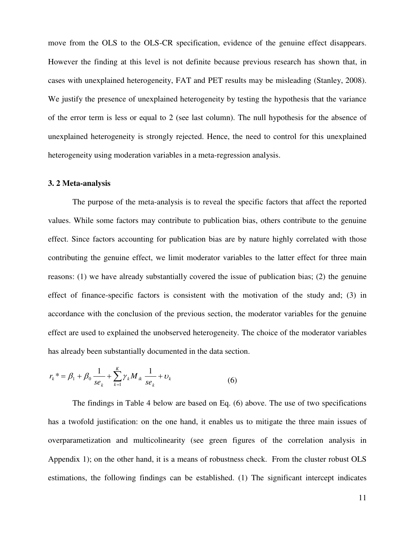move from the OLS to the OLS-CR specification, evidence of the genuine effect disappears. However the finding at this level is not definite because previous research has shown that, in cases with unexplained heterogeneity, FAT and PET results may be misleading (Stanley, 2008). We justify the presence of unexplained heterogeneity by testing the hypothesis that the variance of the error term is less or equal to 2 (see last column). The null hypothesis for the absence of unexplained heterogeneity is strongly rejected. Hence, the need to control for this unexplained heterogeneity using moderation variables in a meta-regression analysis.

## **3. 2 Meta-analysis**

 The purpose of the meta-analysis is to reveal the specific factors that affect the reported values. While some factors may contribute to publication bias, others contribute to the genuine effect. Since factors accounting for publication bias are by nature highly correlated with those contributing the genuine effect, we limit moderator variables to the latter effect for three main reasons: (1) we have already substantially covered the issue of publication bias; (2) the genuine effect of finance-specific factors is consistent with the motivation of the study and; (3) in accordance with the conclusion of the previous section, the moderator variables for the genuine effect are used to explained the unobserved heterogeneity. The choice of the moderator variables has already been substantially documented in the data section.

$$
r_k^* = \beta_1 + \beta_0 \frac{1}{se_k} + \sum_{k=1}^K \gamma_k M_{ik} \frac{1}{se_k} + \nu_k
$$
 (6)

 The findings in Table 4 below are based on Eq. (6) above. The use of two specifications has a twofold justification: on the one hand, it enables us to mitigate the three main issues of overparametization and multicolinearity (see green figures of the correlation analysis in Appendix 1); on the other hand, it is a means of robustness check. From the cluster robust OLS estimations, the following findings can be established. (1) The significant intercept indicates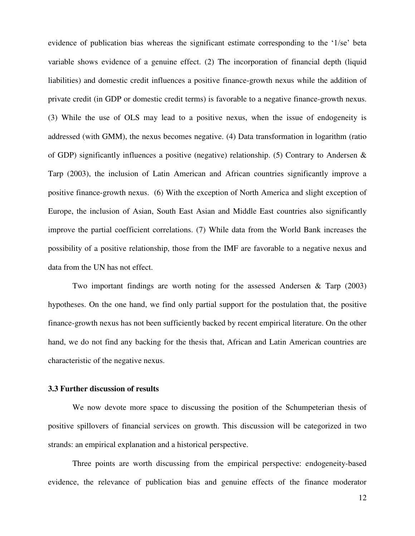evidence of publication bias whereas the significant estimate corresponding to the '1/se' beta variable shows evidence of a genuine effect. (2) The incorporation of financial depth (liquid liabilities) and domestic credit influences a positive finance-growth nexus while the addition of private credit (in GDP or domestic credit terms) is favorable to a negative finance-growth nexus. (3) While the use of OLS may lead to a positive nexus, when the issue of endogeneity is addressed (with GMM), the nexus becomes negative. (4) Data transformation in logarithm (ratio of GDP) significantly influences a positive (negative) relationship. (5) Contrary to Andersen  $\&$ Tarp (2003), the inclusion of Latin American and African countries significantly improve a positive finance-growth nexus. (6) With the exception of North America and slight exception of Europe, the inclusion of Asian, South East Asian and Middle East countries also significantly improve the partial coefficient correlations. (7) While data from the World Bank increases the possibility of a positive relationship, those from the IMF are favorable to a negative nexus and data from the UN has not effect.

 Two important findings are worth noting for the assessed Andersen & Tarp (2003) hypotheses. On the one hand, we find only partial support for the postulation that, the positive finance-growth nexus has not been sufficiently backed by recent empirical literature. On the other hand, we do not find any backing for the thesis that, African and Latin American countries are characteristic of the negative nexus.

## **3.3 Further discussion of results**

 We now devote more space to discussing the position of the Schumpeterian thesis of positive spillovers of financial services on growth. This discussion will be categorized in two strands: an empirical explanation and a historical perspective.

 Three points are worth discussing from the empirical perspective: endogeneity-based evidence, the relevance of publication bias and genuine effects of the finance moderator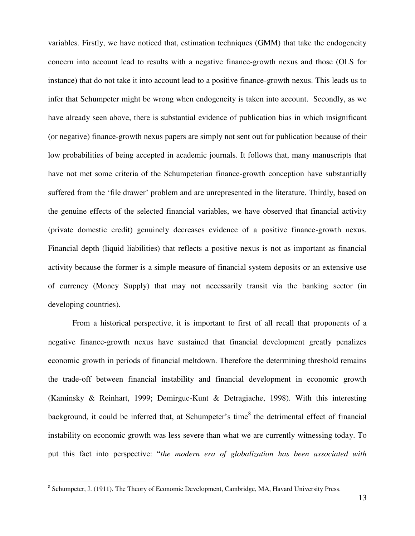variables. Firstly, we have noticed that, estimation techniques (GMM) that take the endogeneity concern into account lead to results with a negative finance-growth nexus and those (OLS for instance) that do not take it into account lead to a positive finance-growth nexus. This leads us to infer that Schumpeter might be wrong when endogeneity is taken into account. Secondly, as we have already seen above, there is substantial evidence of publication bias in which insignificant (or negative) finance-growth nexus papers are simply not sent out for publication because of their low probabilities of being accepted in academic journals. It follows that, many manuscripts that have not met some criteria of the Schumpeterian finance-growth conception have substantially suffered from the 'file drawer' problem and are unrepresented in the literature. Thirdly, based on the genuine effects of the selected financial variables, we have observed that financial activity (private domestic credit) genuinely decreases evidence of a positive finance-growth nexus. Financial depth (liquid liabilities) that reflects a positive nexus is not as important as financial activity because the former is a simple measure of financial system deposits or an extensive use of currency (Money Supply) that may not necessarily transit via the banking sector (in developing countries).

From a historical perspective, it is important to first of all recall that proponents of a negative finance-growth nexus have sustained that financial development greatly penalizes economic growth in periods of financial meltdown. Therefore the determining threshold remains the trade-off between financial instability and financial development in economic growth (Kaminsky & Reinhart, 1999; Demirguc-Kunt & Detragiache, 1998). With this interesting background, it could be inferred that, at Schumpeter's time<sup>8</sup> the detrimental effect of financial instability on economic growth was less severe than what we are currently witnessing today. To put this fact into perspective: "*the modern era of globalization has been associated with* 

<sup>&</sup>lt;sup>8</sup> Schumpeter, J. (1911). The Theory of Economic Development, Cambridge, MA, Havard University Press.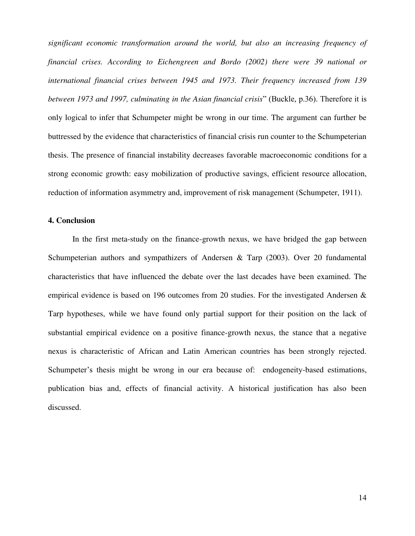*significant economic transformation around the world, but also an increasing frequency of financial crises. According to Eichengreen and Bordo (2002) there were 39 national or international financial crises between 1945 and 1973. Their frequency increased from 139 between 1973 and 1997, culminating in the Asian financial crisis*" (Buckle, p.36). Therefore it is only logical to infer that Schumpeter might be wrong in our time. The argument can further be buttressed by the evidence that characteristics of financial crisis run counter to the Schumpeterian thesis. The presence of financial instability decreases favorable macroeconomic conditions for a strong economic growth: easy mobilization of productive savings, efficient resource allocation, reduction of information asymmetry and, improvement of risk management (Schumpeter, 1911).

## **4. Conclusion**

In the first meta-study on the finance-growth nexus, we have bridged the gap between Schumpeterian authors and sympathizers of Andersen & Tarp (2003). Over 20 fundamental characteristics that have influenced the debate over the last decades have been examined. The empirical evidence is based on 196 outcomes from 20 studies. For the investigated Andersen & Tarp hypotheses, while we have found only partial support for their position on the lack of substantial empirical evidence on a positive finance-growth nexus, the stance that a negative nexus is characteristic of African and Latin American countries has been strongly rejected. Schumpeter's thesis might be wrong in our era because of: endogeneity-based estimations, publication bias and, effects of financial activity. A historical justification has also been discussed.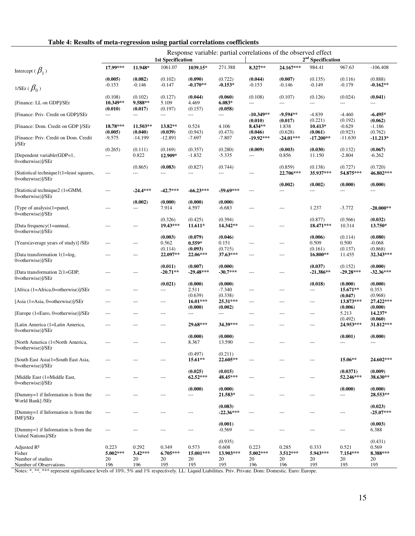| Table 4: Results of meta-regression using partial correlations coefficients |  |  |
|-----------------------------------------------------------------------------|--|--|
|-----------------------------------------------------------------------------|--|--|

|                                                                                  |                                |                                 | <b>1st Specification</b>         |                                    |                                            |                                | Response variable: partial correlations of the observed effect | 2 <sup>nd</sup> Specification   |                                     |                                           |
|----------------------------------------------------------------------------------|--------------------------------|---------------------------------|----------------------------------|------------------------------------|--------------------------------------------|--------------------------------|----------------------------------------------------------------|---------------------------------|-------------------------------------|-------------------------------------------|
| Intercept ( $\beta_1$ )                                                          | 17.99***                       | 11.948*                         | 1061.07                          | 1039.15*                           | 271.388                                    | 8.327**                        | 24.167***                                                      | 984.41                          | 967.63                              | $-106.408$                                |
| 1/SEr $(\beta_0)$                                                                | (0.005)<br>$-0.153$            | (0.082)<br>$-0.146$             | (0.102)<br>$-0.147$              | (0.090)<br>$-0.170**$              | (0.722)<br>$-0.153*$                       | (0.044)<br>$-0.153$            | (0.007)<br>$-0.146$                                            | (0.135)<br>$-0.149$             | (0.116)<br>$-0.179$                 | (0.888)<br>$-0.162**$                     |
| [Finance: LL on GDP]/SEr                                                         | (0.108)<br>10.349**            | (0.102)<br>9.588**              | (0.127)<br>5.109                 | (0.044)<br>4.469                   | (0.060)<br>$6.083*$                        | (0.108)<br>---                 | (0.107)<br>---                                                 | (0.126)<br>---                  | (0.024)<br>$\cdots$                 | (0.041)<br>$\qquad \qquad -$              |
| [Finance: Priv. Credit on GDP]/SEr                                               | (0.010)<br>$\cdots$            | (0.017)<br>---                  | (0.197)<br>$\cdots$              | (0.157)<br>$\cdots$                | (0.058)<br>$---$                           | $-10.349**$                    | $-9.594**$                                                     | $-4.839$                        | $-4.460$                            | $-6.495*$                                 |
| [Finance: Dom. Credit on GDP ]/SEr                                               | 18.78***<br>(0.005)            | 11.503**<br>(0.040)             | 13.82**<br>(0.039)               | 0.524<br>(0.943)                   | 4.106<br>(0.473)                           | (0.010)<br>8.434**<br>(0.046)  | (0.017)<br>1.838<br>(0.628)                                    | (0.221)<br>$10.413*$<br>(0.061) | (0.192)<br>$-0.629$<br>(0.923)      | (0.062)<br>$-1.186$<br>(0.762)            |
| [Finance: Priv. Credit on Dom. Credit<br>]/SEr                                   | $-9.575$                       | -14.199                         | $-12.891$                        | $-7.697$                           | $-7.807$                                   | $-19.92***$                    | $-24.01***$                                                    | $-17.200**$                     | $-11.630$                           | $-11.213*$                                |
| [Dependent variable(GDP=1,<br>0=otherwise)]/SEr                                  | (0.265)<br>---                 | (0.111)<br>0.822                | (0.169)<br>12.909*               | (0.357)<br>$-1.832$                | (0.280)<br>$-5.335$                        | (0.009)<br>---                 | (0.003)<br>0.856                                               | (0.030)<br>11.150               | (0.132)<br>$-2.804$                 | (0.067)<br>$-6.262$                       |
| [Statistical technique1(1=least squares,                                         | $\qquad \qquad - \qquad$       | (0.865)<br>---                  | (0.083)<br>---                   | (0.827)<br>---                     | (0.744)<br>---                             | ---                            | (0.859)<br>22.706***                                           | (0.138)<br>35.937***            | (0.727)<br>54.875***                | (0.720)<br>46.802***                      |
| 0=otherwise)]/SEr<br>[Statistical technique2 (1=GMM,                             | $---$                          | $-24.4***$                      | $-42.7***$                       | $-66.23***$                        | $-59.69***$                                | ---                            | (0.002)<br>---                                                 | (0.002)<br>$---$                | (0.000)<br>$\overline{\phantom{a}}$ | (0.000)<br>$\qquad \qquad -$              |
| 0=otherwise)]/SEr                                                                |                                | (0.002)                         | (0.000)                          | (0.000)                            | (0.000)                                    |                                |                                                                |                                 |                                     |                                           |
| [Type of analysis(1=panel,<br>0=otherwise)]/SEr                                  | $\overline{a}$                 | ---                             | 7.914                            | 4.597                              | -6.683                                     | $---$                          | ---                                                            | 1.237                           | $-3.772$                            | $-20.000**$                               |
| [Data frequency(1=annual,<br>0=otherwise)]/SEr                                   | $---$                          | ---                             | (0.326)<br>19.43***              | (0.425)<br>11.611*                 | (0.394)<br>14.342**                        | ---                            | ---                                                            | (0.877)<br>18.471***            | (0.566)<br>10.314                   | (0.032)<br>13.750*                        |
| [Years(average years of study)] /SEr                                             | $---$                          | ---                             | (0.003)<br>0.562                 | (0.079)<br>$0.559*$                | (0.046)<br>0.151                           | ---                            | ---                                                            | (0.006)<br>0.509                | (0.114)<br>0.500                    | (0.080)<br>$-0.068$                       |
| [Data transformation 1(1=log,<br>0=otherwise)]/SEr                               | $---$                          | ---                             | (0.114)<br>22.097**              | (0.093)<br>22.06***                | (0.715)<br>37.63***                        | $---$                          | ---                                                            | (0.161)<br>16.800**             | (0.137)<br>11.455                   | (0.868)<br>32.343***                      |
| [Data transformation 2(1=GDP,<br>0=otherwise)]/SEr                               | $---$                          | ---                             | (0.011)<br>$-20.71**$            | (0.007)<br>$-29.48***$             | (0.000)<br>$-30.7***$                      | $---$                          | $---$                                                          | (0.037)<br>$-21.386**$          | (0.152)<br>$-29.28***$              | (0.000)<br>$-32.36***$                    |
| [Africa (1=Africa,0=otherwise)]/SEr                                              | $---$                          | ---                             | (0.021)<br>---                   | (0.000)<br>2.511                   | (0.000)<br>$-7.340$                        | $---$                          | ---                                                            | (0.018)<br>$\qquad \qquad -$    | (0.000)<br>15.671**                 | (0.000)<br>0.353                          |
| [Asia (1=Asia, 0=otherwise)]/SEr                                                 | $---$                          | ---                             | $\qquad \qquad -\qquad -$        | (0.639)<br>$16.01***$              | (0.338)<br>25.31***                        | ---                            | ---                                                            | $\qquad \qquad - -$             | (0.047)<br>13.873***                | (0.968)<br>27.422***                      |
| [Europe (1=Euro, 0=otherwise)]/SEr                                               | ---                            | ---                             | ---                              | (0.000)<br>$\qquad \qquad -\qquad$ | (0.002)<br>---                             | ---                            | ---                                                            | $---$                           | (0.006)<br>5.213                    | (0.000)<br>14.237*                        |
| [Latin America (1=Latin America,<br>0=otherwise)]/SEr                            | ---                            | ---                             | ---                              | 29.68***                           | 34.39***                                   | $---$                          | ---                                                            | ---                             | (0.492)<br>24.953***                | (0.060)<br>31.812***                      |
| [North America (1=North America,<br>0=otherwise)]/SEr                            | $---$                          | ---                             | $---$                            | (0.000)<br>8.367                   | (0.000)<br>13.590                          | $---$                          | $---$                                                          | $---$                           | (0.001)<br>---                      | (0.000)<br>$---$                          |
| [South East Asia(1=South East Asia,<br>0=otherwise)]/SEr                         |                                |                                 |                                  | (0.497)<br>15.61**                 | (0.211)<br>22.605**                        |                                |                                                                |                                 | 15.06**                             | 24.602***                                 |
| Middle East (1=Middle East,<br>0=otherwise)]/SEr                                 | ---                            |                                 | ---                              | (0.025)<br>62.52***                | (0.015)<br>48.45***                        | ---                            | ---                                                            | ---                             | (0.0371)<br>52.246***               | (0.009)<br>38.630**                       |
| [Dummy=1 if Information is from the                                              | $\qquad \qquad -$              | ---                             | ---                              | (0.000)<br>---                     | (0.000)<br>21.583*                         | $---$                          | ---                                                            | $\qquad \qquad -$               | (0.000)<br>---                      | (0.000)<br>28.553**                       |
| World Bankl /SEr<br>[Dummy=1 if Information is from the                          | $---$                          | ---                             | ---                              | $---$                              | (0.083)<br>$-22.36***$                     | ---                            | ---                                                            | $---$                           | $---$                               | (0.023)<br>$-25.07***$                    |
| IMF /SEr<br>[Dummy=1 if Information is from the                                  | $\qquad \qquad -$              | ---                             | ---                              | $\qquad \qquad - \qquad -$         | (0.001)<br>$-0.569$                        | ---                            | ---                                                            | $---$                           | $\hspace{0.05cm} \dashrightarrow$   | (0.003)<br>6.388                          |
| <b>United Nations</b>   / SEr                                                    |                                |                                 |                                  |                                    |                                            |                                |                                                                |                                 |                                     |                                           |
| Adjusted R <sup>2</sup><br>Fisher<br>Number of studies<br>Number of Observations | 0.223<br>5.002***<br>20<br>196 | 0.292<br>$3.42***$<br>20<br>196 | 0.349<br>$6.705***$<br>20<br>195 | 0.573<br>15.001***<br>20<br>195    | (0.935)<br>0.608<br>13.903***<br>20<br>195 | 0.223<br>5.002***<br>20<br>196 | 0.285<br>$3.512***$<br>20<br>196                               | 0.333<br>5.943***<br>20<br>195  | 0.521<br>$7.154***$<br>20<br>195    | (0.431)<br>0.569<br>8.388***<br>20<br>195 |

Notes: \*, \*\*, \*\*\* represent significance levels of 10%, 5% and 1% respectively. LL: Liquid Liabilities. Priv. Private. Dom: Domestic. Euro: Europe.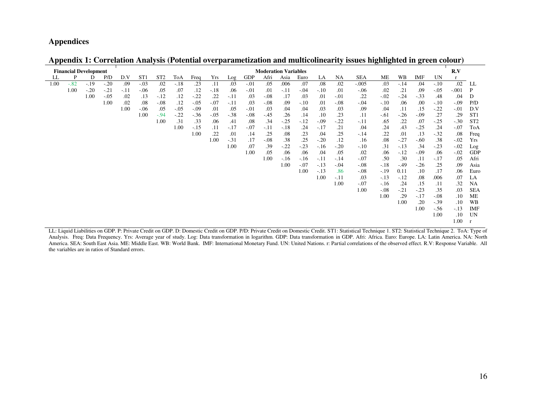## **Appendices**

|      | <b>Financial Development</b> |        |         |       |                 |                 |        |        |        |        |            |        | <b>Moderation Variables</b> |        |         |        |            |        |        |         |         | R.V     |                 |
|------|------------------------------|--------|---------|-------|-----------------|-----------------|--------|--------|--------|--------|------------|--------|-----------------------------|--------|---------|--------|------------|--------|--------|---------|---------|---------|-----------------|
| LL   | P                            | D      | P/D     | D.V   | ST <sub>1</sub> | ST <sub>2</sub> | ToA    | Freq   | Yrs    | Log    | <b>GDP</b> | Afri   | Asia                        | Euro   | LA      | NA     | <b>SEA</b> | ME     | WB     | IMF     | UN      | r       |                 |
| 1.00 | $-.82$                       | $-.19$ | $-.20$  | .09   | $-.03$          | .02             | $-.18$ | .23    | .11    | .03    | $-.01$     | .05    | .006                        | .07    | .08     | .02    | $-.005$    | .03    | $-.14$ | .04     | $-.10$  | .02     | LL              |
|      | 1.00                         | $-.20$ | $-.21$  | $-11$ | $-0.06$         | .05             | .07    | .12    | $-.18$ | .06    | $-.01$     | .01    | $-.11$                      | $-.04$ | $-.10$  | .01    | $-.06$     | .02    | .21    | .09     | $-0.05$ | $-.001$ | P               |
|      |                              | 1.00   | $-0.05$ | .02   | .13             | $-.12$          | .12    | $-.22$ | .22    | $-.11$ | .03        | $-.08$ | .17                         | .03    | .01     | $-.01$ | .22        | $-.02$ | $-.24$ | $-.33$  | .48     | .04     | D               |
|      |                              |        | 1.00    | .02   | .08             | $-.08$          | .12    | $-.05$ | $-.07$ | $-.11$ | .03        | $-.08$ | .09                         | $-.10$ | .01     | $-.08$ | $-.04$     | $-.10$ | .06    | .00     | $-.10$  | $-0.09$ | P/D             |
|      |                              |        |         | 1.00  | $-0.06$         | .05             | $-.05$ | $-.09$ | .01    | .05    | $-.01$     | .03    | .04                         | .04    | .03     | .03    | .09        | .04    | .11    | .15     | $-.22$  | $-01$   | D.V             |
|      |                              |        |         |       | 1.00            | $-.94$          | $-.22$ | $-.36$ | $-.05$ | $-.38$ | $-.08$     | $-.45$ | .26                         | .14    | .10     | .23    | .11        | $-.61$ | $-.26$ | $-0.09$ | .27     | .29     | ST <sub>1</sub> |
|      |                              |        |         |       |                 | 1.00            | .31    | .33    | .06    | .41    | .08        | .34    | $-25$                       | $-12$  | $-0.09$ | $-.22$ | $-.11$     | .65    | .22    | .07     | $-.25$  | $-.30$  | ST <sub>2</sub> |
|      |                              |        |         |       |                 |                 | 1.00   | $-.15$ | .11    | $-.17$ | $-.07$     | $-.11$ | $-.18$                      | .24    | $-.17$  | .21    | .04        | .24    | .43    | $-.25$  | .24     | $-.07$  | ToA             |
|      |                              |        |         |       |                 |                 |        | 1.00   | .22    | .01    | .14        | .25    | .08                         | .23    | .04     | .25    | $-.14$     | .22    | .01    | .13     | $-.32$  | .08     | Freq            |
|      |                              |        |         |       |                 |                 |        |        | 1.00   | $-.31$ | .17        | $-.08$ | .38                         | .25    | $-.20$  | .12    | .16        | .08    | $-.27$ | $-.60$  | .38     | $-.02$  | Yrs             |
|      |                              |        |         |       |                 |                 |        |        |        | 1.00   | .07        | .39    | $-.22$                      | $-.23$ | $-16$   | $-.20$ | $-.10$     | .31    | $-.13$ | .34     | $-.23$  | $-.02$  | Log             |
|      |                              |        |         |       |                 |                 |        |        |        |        | 1.00       | .05    | .06                         | .06    | .04     | .05    | .02        | .06    | $-.12$ | $-0.09$ | .06     | $-.02$  | <b>GDP</b>      |
|      |                              |        |         |       |                 |                 |        |        |        |        |            | 1.00   | $-.16$                      | $-.16$ | $-.11$  | $-.14$ | $-.07$     | .50    | .30    | .11     | $-.17$  | .05     | Afri            |
|      |                              |        |         |       |                 |                 |        |        |        |        |            |        | 1.00                        | $-.07$ | $-.13$  | $-.04$ | $-.08$     | $-.18$ | $-.49$ | $-.26$  | .25     | .09     | Asia            |
|      |                              |        |         |       |                 |                 |        |        |        |        |            |        |                             | 1.00   | $-.13$  | .86    | $-0.08$    | $-.19$ | 0.11   | .10     | .17     | .06     | Euro            |
|      |                              |        |         |       |                 |                 |        |        |        |        |            |        |                             |        | 1.00    | $-.11$ | .03        | $-.13$ | $-.12$ | .08     | .006    | .07     | LA              |
|      |                              |        |         |       |                 |                 |        |        |        |        |            |        |                             |        |         | 1.00   | $-.07$     | $-.16$ | .24    | .15     | .11     | .32     | <b>NA</b>       |
|      |                              |        |         |       |                 |                 |        |        |        |        |            |        |                             |        |         |        | 1.00       | $-.08$ | $-.21$ | $-.23$  | .35     | .03     | <b>SEA</b>      |
|      |                              |        |         |       |                 |                 |        |        |        |        |            |        |                             |        |         |        |            | 1.00   | .29    | $-.17$  | $-.08$  | .10     | <b>ME</b>       |
|      |                              |        |         |       |                 |                 |        |        |        |        |            |        |                             |        |         |        |            |        | 1.00   | .20     | $-.39$  | .10     | <b>WB</b>       |
|      |                              |        |         |       |                 |                 |        |        |        |        |            |        |                             |        |         |        |            |        |        | 1.00    | $-.56$  | $-.13$  | <b>IMF</b>      |
|      |                              |        |         |       |                 |                 |        |        |        |        |            |        |                             |        |         |        |            |        |        |         | 1.00    | .10     | UN              |
|      |                              |        |         |       |                 |                 |        |        |        |        |            |        |                             |        |         |        |            |        |        |         |         | 1.00    |                 |

**Appendix 1: Correlation Analysis (Potential overparametization and multicolinearity issues highlighted in green colour)** 

LL: Liquid Liabilities on GDP. P: Private Credit on GDP. D: Domestic Credit on GDP. P/D: Private Credit on Domestic Credit. ST1: Statistical Technique 1. ST2: Statistical Technique 2. ToA: Type of Analysis. Freq: Data Frequency. Yrs: Average year of study. Log: Data transformation in logarithm. GDP: Data transformation in GDP. Afri: Africa. Euro: Europe. LA: Latin America. NA: North America. SEA: South East Asia. ME: Middle East. WB: World Bank. IMF: International Monetary Fund. UN: United Nations. r: Partial correlations of the observed effect. R.V: Response Variable. All the variables are in ratios of Standard errors.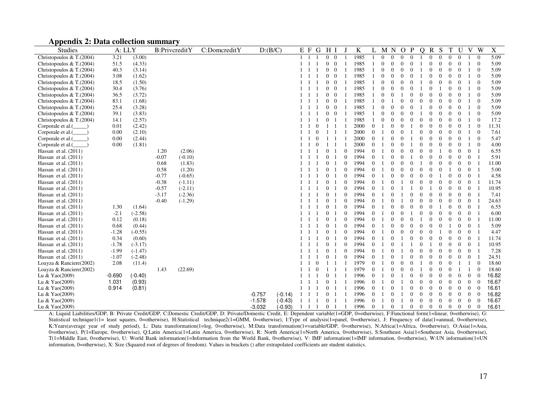#### **Appendix 2: Data collection summary**

| <b>Studies</b>                     | A: LLY   |           |         | B:PrivcreditY | C:DomcreditY | D:(B/C)  |           | E F          | G            | H I            |                |                  | K    |                | M        | $\mathbf N$      | $\overline{O}$   | $\mathbf{P}$     | $\overline{Q}$ | R S            |                  | T                | U              | V              | W                        | $\mathbf X$ |
|------------------------------------|----------|-----------|---------|---------------|--------------|----------|-----------|--------------|--------------|----------------|----------------|------------------|------|----------------|----------|------------------|------------------|------------------|----------------|----------------|------------------|------------------|----------------|----------------|--------------------------|-------------|
| Christopoulos & T. $(2004)$        | 3.21     | (3.00)    |         |               |              |          |           |              |              |                | $0 \quad 0$    |                  | 1985 |                | $\Omega$ | $\Omega$         | $\overline{0}$   | $\theta$         |                | $\Omega$       | $\Omega$         | $\overline{0}$   | $\theta$       |                | $\Omega$                 | 5.09        |
| Christopoulos & T. $(2004)$        | 51.5     | (4.33)    |         |               |              |          |           |              |              | $\mathbf{0}$   | $\overline{0}$ |                  | 1985 |                | $\theta$ | $\mathbf{0}$     | $\theta$         | $\mathbf{0}$     |                | $\mathbf{0}$   | $\theta$         | $\theta$         | $\theta$       |                | $\overline{0}$           | 5.09        |
| Christopoulos & T. $(2004)$        | 40.3     | (3.14)    |         |               |              |          |           |              |              | $\overline{0}$ | $\overline{0}$ |                  | 1985 |                | $\theta$ | $\boldsymbol{0}$ | $\mathbf{0}$     | $\mathbf{0}$     |                | $\mathbf{0}$   | $\boldsymbol{0}$ | $\mathbf{0}$     | $\overline{0}$ |                | $\theta$                 | 5.09        |
| Christopoulos & T.(2004)           | 3.08     | (1.62)    |         |               |              |          |           |              |              | $\overline{0}$ | $\overline{0}$ |                  | 1985 |                | $\theta$ | $\mathbf{0}$     | $\mathbf{0}$     | $\mathbf{0}$     |                | $\mathbf{0}$   | $\theta$         | $\boldsymbol{0}$ | $\mathbf{0}$   |                | $\theta$                 | 5.09        |
| Christopoulos & T. $(2004)$        | 18.5     | (1.50)    |         |               |              |          |           |              |              | $\overline{0}$ | $\overline{0}$ |                  | 1985 |                | $\Omega$ | $\mathbf{0}$     | $\mathbf{0}$     | $\Omega$         |                | $\Omega$       | $\Omega$         | $\theta$         | $\Omega$       |                | $\Omega$                 | 5.09        |
| Christopoulos & T. $(2004)$        | 30.4     | (3.76)    |         |               |              |          |           |              |              | $\overline{0}$ | $\overline{0}$ |                  | 1985 |                | $\theta$ | $\mathbf{0}$     | $\mathbf{0}$     | $\mathbf{0}$     |                | $\overline{0}$ |                  | $\theta$         | $\theta$       |                | $\overline{0}$           | 5.09        |
| Christopoulos & T. $(2004)$        | 36.5     | (3.72)    |         |               |              |          |           |              |              | $\overline{0}$ | $\overline{0}$ | $\mathbf{1}$     | 1985 |                | $\Omega$ | $\Omega$         |                  | $\Omega$         | $\Omega$       | $\Omega$       | $\theta$         | $\Omega$         | $\Omega$       |                | $\Omega$                 | 5.09        |
| Christopoulos & T.(2004)           | 83.1     | (1.68)    |         |               |              |          |           |              |              | $\overline{0}$ | $\overline{0}$ |                  | 1985 |                | $\theta$ |                  | $\theta$         | $\Omega$         | $\Omega$       | $\overline{0}$ | $\overline{0}$   | $\theta$         | $\theta$       |                | $\Omega$                 | 5.09        |
| Christopoulos $& T.(2004)$         | 25.4     | (3.28)    |         |               |              |          |           |              |              |                | $0\quad 0$     |                  | 1985 |                | $\Omega$ | $\mathbf{0}$     | $\mathbf{0}$     | $\Omega$         |                | $\theta$       | $\Omega$         | $\theta$         | $\Omega$       |                | $\Omega$                 | 5.09        |
| Christopoulos & T. $(2004)$        | 39.1     | (3.83)    |         |               |              |          |           |              |              | $\mathbf{0}$   | $\overline{0}$ |                  | 1985 |                | $\theta$ | $\mathbf{0}$     | $\mathbf{0}$     | $\mathbf{0}$     |                | $\theta$       | 0                | $\Omega$         | $\mathbf{0}$   |                | $\overline{0}$           | 5.09        |
| Christopoulos & T. $(2004)$        | 14.1     | (2.57)    |         |               |              |          |           |              |              | $\mathbf{0}$   |                |                  | 1985 |                | $\Omega$ | $\mathbf{0}$     | $\Omega$         | $\mathbf{0}$     | $\Omega$       | $\theta$       | $\overline{0}$   | $\theta$         | $\theta$       |                | $\overline{0}$           | 17.2        |
| Corporale et al.(<br>$\rightarrow$ | 0.01     | (2.42)    |         |               |              |          |           |              | $\mathbf{0}$ | -1             |                |                  | 2000 | $\overline{0}$ |          | $\mathbf{0}$     | $\mathbf{0}$     |                  | $\theta$       | $\overline{0}$ | $\theta$         | $\theta$         | $\overline{0}$ |                | $\theta$                 | 11.31       |
| Corporale et al.(                  | 0.00     | (2.10)    |         |               |              |          |           |              | $\mathbf{0}$ | $\mathbf{1}$   |                |                  | 2000 | $\Omega$       |          | $\mathbf{0}$     | $\mathbf{0}$     |                  | $\theta$       | $\mathbf{0}$   | $\theta$         | $\mathbf{0}$     | $\overline{0}$ |                | $\Omega$                 | 7.61        |
| Corporale et al.(                  | 0.00     | (2.44)    |         |               |              |          |           |              | $\mathbf{0}$ | 1 1            |                |                  | 2000 | 0              |          | $\boldsymbol{0}$ | $\boldsymbol{0}$ |                  | $\overline{0}$ | $\mathbf{0}$   | $\theta$         | $\boldsymbol{0}$ | $\mathbf{0}$   |                | $\overline{0}$           | 5.47        |
| Corporale et al.(                  | 0.00     | (1.81)    |         |               |              |          |           |              | $\mathbf{0}$ | 1              |                |                  | 2000 | $\Omega$       |          | $\mathbf{0}$     | $\mathbf{0}$     |                  | $\overline{0}$ | $\mathbf{0}$   | $\theta$         | $\theta$         | $\mathbf{0}$   |                | $\theta$                 | 4.00        |
| Hassan et al. $(2011)$             |          |           | 1.20    | (2.06)        |              |          |           |              |              | $\overline{0}$ |                | $\theta$         | 1994 | $\Omega$       |          | $\mathbf{0}$     | $\mathbf{0}$     | $\mathbf{0}$     | $\Omega$       | $\Omega$       |                  | $\theta$         | $\Omega$       | $\Omega$       | $\overline{1}$           | 6.55        |
| Hassan et al. $(2011)$             |          |           | $-0.07$ | $(-0.10)$     |              |          |           |              |              | $\overline{0}$ |                | $\mathbf{0}$     | 1994 | $\Omega$       |          | $\mathbf{0}$     | $\mathbf{0}$     |                  | $\theta$       | $\theta$       | $\overline{0}$   | $\theta$         | $\theta$       | $\theta$       |                          | 5.91        |
| Hassan et al. $(2011)$             |          |           | 0.68    | (1.83)        |              |          |           |              |              | $\mathbf{0}$   |                | $\mathbf{0}$     | 1994 | 0              |          | $\mathbf{0}$     | $\mathbf{0}$     | $\mathbf{0}$     |                | $\theta$       | $\theta$         | $\mathbf{0}$     | $\mathbf 0$    | $\overline{0}$ | $\overline{1}$           | 11.00       |
| Hassan et al. $(2011)$             |          |           | 0.58    | (1.20)        |              |          |           |              |              | $\overline{0}$ |                | $\boldsymbol{0}$ | 1994 | 0              |          | $\mathbf{0}$     | $\Omega$         | $\mathbf{0}$     | $\theta$       | $\theta$       | $\Omega$         |                  | $\theta$       | $\overline{0}$ |                          | 5.00        |
| Hassan et al. $(2011)$             |          |           | $-0.77$ | $(-0.65)$     |              |          |           |              |              | $\overline{0}$ |                | $\theta$         | 1994 | $\Omega$       |          | $\Omega$         | $\Omega$         | $\Omega$         | $\Omega$       | $\overline{0}$ |                  | $\theta$         | $\overline{0}$ | $\Omega$       | $\overline{1}$           | 4.58        |
| Hassan et al. $(2011)$             |          |           | $-0.38$ | $(-1.11)$     |              |          |           |              |              | $\overline{0}$ |                | $\mathbf{0}$     | 1994 | $\theta$       |          | $\mathbf{0}$     |                  | $\mathbf{0}$     | $\theta$       | $\theta$       | $\theta$         | $\theta$         | $\overline{0}$ | $\overline{0}$ | - 1                      | 11.74       |
| Hassan et al. $(2011)$             |          |           | $-0.57$ | $(-2.11)$     |              |          |           |              |              | $\overline{0}$ | -1             | $\theta$         | 1994 | $\Omega$       |          | $\theta$         |                  |                  | $\theta$       |                | $\theta$         | $\theta$         | $\theta$       | $\overline{0}$ |                          | 10.95       |
| Hassan et al. $(2011)$             |          |           | $-3.17$ | $(-2.36)$     |              |          |           |              |              | $\mathbf{0}$   |                | $\boldsymbol{0}$ | 1994 | $\theta$       |          | $\theta$         |                  | $\boldsymbol{0}$ | $\theta$       | $\overline{0}$ | $\theta$         | $\boldsymbol{0}$ | $\theta$       | $\overline{0}$ | $\overline{1}$           | 7.41        |
| Hassan et al. $(2011)$             |          |           | $-0.40$ | $(-1.29)$     |              |          |           |              |              | $\overline{0}$ |                | $\mathbf{0}$     | 1994 | $\Omega$       |          | $\Omega$         |                  | $\Omega$         | $\Omega$       | $\Omega$       | $\Omega$         | $\theta$         | $\theta$       | $\Omega$       | $\overline{1}$           | 24.63       |
| Hassan et al. $(2011)$             | 1.30     | (1.64)    |         |               |              |          |           |              |              | $\overline{0}$ | -1             | $\mathbf{0}$     | 1994 | $\Omega$       |          | $\theta$         | $\theta$         | $\Omega$         | $\theta$       | $\theta$       |                  | $\theta$         | $\theta$       | $\Omega$       | $\overline{1}$           | 6.55        |
| Hassan et al. $(2011)$             | $-2.1$   | $(-2.58)$ |         |               |              |          |           |              |              | $\overline{0}$ |                | $\mathbf{0}$     | 1994 | $\Omega$       |          | $\mathbf{0}$     | $\theta$         |                  | $\theta$       | $\overline{0}$ | $\theta$         | $\theta$         | $\theta$       | $\overline{0}$ | - 1                      | 6.00        |
| Hassan et al. $(2011)$             | 0.12     | (0.18)    |         |               |              |          |           |              |              | $\overline{0}$ |                | $\mathbf{0}$     | 1994 | $\theta$       |          | $\mathbf{0}$     | $\theta$         | $\boldsymbol{0}$ |                | $\overline{0}$ | $\theta$         | $\theta$         | $\theta$       | $\overline{0}$ |                          | 11.00       |
| Hassan et al. $(2011)$             | 0.68     | (0.44)    |         |               |              |          |           |              |              | $\mathbf{0}$   |                | $\mathbf{0}$     | 1994 | $\Omega$       |          | $\Omega$         | $\Omega$         | $\mathbf{0}$     | $\Omega$       | $\Omega$       | $\Omega$         |                  | $\theta$       | $\overline{0}$ | - 1                      | 5.09        |
| Hassan et al. $(2011)$             | $-1.28$  | $(-0.55)$ |         |               |              |          |           |              |              | $\overline{0}$ | $\overline{1}$ | $\theta$         | 1994 | $\Omega$       |          | $\Omega$         | $\Omega$         | $\mathbf{0}$     | $\theta$       | $\theta$       |                  | $\Omega$         | $\Omega$       | $\Omega$       | $\overline{1}$           | 4.47        |
| Hassan et al. $(2011)$             | 0.34     | (0.60)    |         |               |              |          |           |              |              | $\overline{0}$ |                | $\boldsymbol{0}$ | 1994 | $\theta$       |          | $\mathbf{0}$     |                  | $\mathbf{0}$     | $\mathbf{0}$   | $\mathbf{0}$   | $\mathbf{0}$     | $\mathbf{0}$     | $\mathbf{0}$   | $\overline{0}$ |                          | 11.74       |
| Hassan et al. $(2011)$             | $-1.78$  | $(-3.17)$ |         |               |              |          |           |              |              | $\overline{0}$ | - 1            | $\mathbf{0}$     | 1994 | $\overline{0}$ |          | $\mathbf{0}$     |                  |                  | $\mathbf{0}$   |                | $\theta$         | $\boldsymbol{0}$ | $\mathbf{0}$   | $\overline{0}$ | $\overline{\phantom{0}}$ | 10.95       |
| Hassan et al. $(2011)$             | $-1.99$  | $(-1.47)$ |         |               |              |          |           |              |              | $\overline{0}$ |                | $\mathbf{0}$     | 1994 | $\Omega$       |          | $\Omega$         |                  | $\mathbf{0}$     | $\theta$       | $\mathbf{0}$   | $\theta$         | $\boldsymbol{0}$ | $\overline{0}$ | $\overline{0}$ |                          | 7.28        |
| Hassan et al. $(2011)$             | $-1.07$  | $(-2.48)$ |         |               |              |          |           |              |              | $\overline{0}$ |                | $\theta$         | 1994 | 0              |          | $\mathbf{0}$     |                  | $\mathbf{0}$     | $\theta$       | $\mathbf{0}$   | $\theta$         | $\theta$         | $\theta$       | $\overline{0}$ | - 1                      | 24.51       |
| Loayza & Ranciere(2002)            | 2.08     | (11.4)    |         |               |              |          |           |              | $\mathbf{0}$ | -1             |                |                  | 1979 | $\Omega$       |          | $\mathbf{0}$     | $\mathbf{0}$     | $\mathbf{0}$     |                | $\mathbf{0}$   | $\mathbf{0}$     | $\theta$         |                |                | $\overline{0}$           | 18.60       |
| Loayza & Ranciere(2002)            |          |           | 1.43    | (22.69)       |              |          |           |              | $\mathbf{0}$ | -1             |                |                  | 1979 | $\Omega$       |          | $\Omega$         | $\Omega$         | $\mathbf{0}$     |                | $\mathbf{0}$   | $\theta$         | $\theta$         |                |                | $\overline{0}$           | 18.60       |
| Lu & Yao(2009)                     | $-0.690$ | $(-0.40)$ |         |               |              |          |           |              |              | $\overline{0}$ |                |                  | 1996 | $\Omega$       |          | $\theta$         |                  | $\mathbf{0}$     | $\theta$       | $\theta$       | $\Omega$         | $\mathbf{0}$     | $\theta$       | $\mathbf{0}$   | $\Omega$                 | 16.82       |
| Lu & Yao(2009)                     | 1.031    | (0.93)    |         |               |              |          |           |              |              | $\overline{0}$ |                | $\overline{1}$   | 1996 | 0              |          | $\Omega$         |                  | $\Omega$         | $\theta$       | $\Omega$       | $\Omega$         | $\theta$         | $\theta$       | $\Omega$       | $\theta$                 | 16.67       |
| Lu & Yao(2009)                     | 0.914    | (0.81)    |         |               |              |          |           |              |              | $\overline{0}$ | -1             |                  | 1996 | $\overline{0}$ |          | $\theta$         |                  | $\boldsymbol{0}$ | $\theta$       | $\overline{0}$ | $\theta$         | $\mathbf{0}$     | $\mathbf{0}$   | $\mathbf{0}$   | $\overline{0}$           | 16.61       |
| Lu & Yao(2009)                     |          |           |         |               |              | $-0.757$ | $(-0.14)$ |              |              | $\overline{0}$ |                |                  | 1996 | $\overline{0}$ |          | $\theta$         |                  | $\boldsymbol{0}$ | $\theta$       | $\mathbf{0}$   | $\theta$         | $\boldsymbol{0}$ | $\overline{0}$ | $\overline{0}$ | $\overline{0}$           | 16.82       |
| Lu & $Ya0(2009)$                   |          |           |         |               |              | $-1.578$ | $(-0.43)$ |              |              | $\overline{0}$ |                |                  | 1996 | 0              |          | $\mathbf{0}$     |                  | $\mathbf{0}$     | $\theta$       | $\mathbf{0}$   | $\theta$         | $\mathbf{0}$     | $\theta$       | $\mathbf{0}$   | $\theta$                 | 16.67       |
| Lu & Yao(2009)                     |          |           |         |               |              | $-3.032$ | $(-0.93)$ | $\mathbf{1}$ | 1 1          | $\overline{0}$ |                |                  | 1996 | $\Omega$       |          | $\Omega$         |                  | $\Omega$         | $\Omega$       | $\Omega$       | $\overline{0}$   | $\overline{0}$   | $\overline{0}$ | $\Omega$       | $\theta$                 | 16.61       |

A: Liquid Liabilities/GDP, B: Private Credit/GDP, C:Domestic Credit/GDP, D: Private/Domestic Credit, E: Dependent variable(1=GDP, 0=otherwise), F:Functional form(1=linear, 0=otherwise), G: Statistical technique1(1= least squares, 0=otherwise), H:Statistical technique2(1=GMM, 0=otherwise), I:Type of analysis(1=panel, 0=otherwise), J: Frequency of data(1=annual, 0=otherwise), K:Years(average year of study period), L: Data transformation(1=log, 0=otherwise), M:Data transformation(1=variable/GDP, 0=otherwise), N:Africa(1=Africa, 0=otherwise), O:Asia(1=Asia, 0=otherwise), P(1=Europe, 0=otherwise), Q:Latin America(1=Latin America, 0=otherwise), R: North America(1=North America, 0=otherwise), S:Southeast Asia(1=Southeast Asia, 0=otherwise), T(1=Middle East, 0=otherwise), U: World Bank information(1=Information from the World Bank, 0=otherwise), V: IMF information(1=IMF information, 0=otherwise), W:UN information(1=UN information, 0=otherwise), X: Size (Squared root of degrees of freedom). Values in brackets () after extrapolated coefficients are student statistics.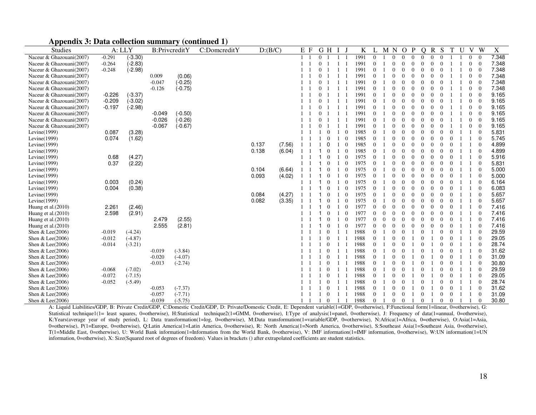| <b>Studies</b>           | A: LLY   |           | B:PrivcreditY |           | C:DomcreditY | D:(B/C) |        | Ε<br>F |          | G<br>H   |                | K    |              | M        | N        | $\Omega$ | P        | O        | R        | S        | T        | U | V | W              | X     |
|--------------------------|----------|-----------|---------------|-----------|--------------|---------|--------|--------|----------|----------|----------------|------|--------------|----------|----------|----------|----------|----------|----------|----------|----------|---|---|----------------|-------|
| Naceur & Ghazouani(2007) | $-0.291$ | $(-3.30)$ |               |           |              |         |        |        | $\Omega$ |          |                | 1991 |              |          | $\Omega$ |          | $\Omega$ | $\Omega$ | $\Omega$ |          |          |   |   | $\theta$       | 7.348 |
| Naceur & Ghazouani(2007) | $-0.264$ | $(-2.83)$ |               |           |              |         |        |        |          |          |                | 1991 |              |          | $\Omega$ |          | $\Omega$ |          |          |          |          |   |   | $\Omega$       | 7.348 |
| Naceur & Ghazouani(2007) | $-0.248$ | $(-2.98)$ |               |           |              |         |        |        |          |          |                | 1991 |              |          |          |          |          |          |          |          |          |   |   | $\Omega$       | 7.348 |
| Naceur & Ghazouani(2007) |          |           | 0.009         | (0.06)    |              |         |        |        |          |          |                | 1991 |              |          |          |          |          |          |          |          |          |   |   | $\Omega$       | 7.348 |
| Naceur & Ghazouani(2007) |          |           | $-0.047$      | $(-0.25)$ |              |         |        |        |          |          |                | 1991 |              |          |          |          |          |          |          |          |          |   |   | $\Omega$       | 7.348 |
| Naceur & Ghazouani(2007) |          |           | $-0.126$      | $(-0.75)$ |              |         |        |        |          |          |                | 1991 |              |          |          |          |          |          |          |          |          |   |   | $\Omega$       | 7.348 |
| Naceur & Ghazouani(2007) | $-0.226$ | $(-3.37)$ |               |           |              |         |        |        |          |          |                | 1991 |              |          |          |          |          |          |          |          |          |   |   | $\bigcap$      | 9.165 |
| Naceur & Ghazouani(2007) | $-0.209$ | $(-3.02)$ |               |           |              |         |        |        |          |          |                | 1991 |              |          |          |          |          |          |          |          |          |   |   | $\Omega$       | 9.165 |
| Naceur & Ghazouani(2007) | $-0.197$ | $(-2.98)$ |               |           |              |         |        |        |          |          |                | 1991 |              |          |          |          |          |          |          |          |          |   |   | $\Omega$       | 9.165 |
| Naceur & Ghazouani(2007) |          |           | $-0.049$      | $(-0.50)$ |              |         |        |        |          |          |                | 1991 |              |          |          |          |          |          |          |          |          |   |   | $\Omega$       | 9.165 |
| Naceur & Ghazouani(2007) |          |           | $-0.026$      | $(-0.26)$ |              |         |        |        |          |          |                | 1991 |              |          |          |          |          |          |          |          |          |   |   | $\Omega$       | 9.165 |
| Naceur & Ghazouani(2007) |          |           | $-0.067$      | $(-0.67)$ |              |         |        |        |          |          |                | 1991 |              |          |          |          |          |          |          |          |          |   |   | $\overline{0}$ | 9.165 |
| Levine $(1999)$          | 0.087    | (3.28)    |               |           |              |         |        |        |          |          |                | 1985 |              |          |          |          |          |          |          |          |          |   |   | $\Omega$       | 5.831 |
| Levine $(1999)$          | 0.074    | (1.62)    |               |           |              |         |        |        |          |          | - 0            | 1985 |              |          |          |          |          |          |          |          |          |   |   |                | 5.745 |
| Levine $(1999)$          |          |           |               |           |              | 0.137   | (7.56) |        |          |          |                | 1985 |              |          |          |          |          |          |          |          |          |   |   |                | 4.899 |
| Levine $(1999)$          |          |           |               |           |              | 0.138   | (6.04) |        |          |          |                | 1985 |              |          |          |          |          |          |          |          |          |   |   |                | 4.899 |
| Levine $(1999)$          | 0.68     | (4.27)    |               |           |              |         |        |        |          | $\Omega$ | $\overline{0}$ | 1975 |              |          |          |          |          |          |          |          |          |   |   |                | 5.916 |
| Levine $(1999)$          | 0.37     | (2.22)    |               |           |              |         |        |        |          |          | $\Omega$       | 1975 |              |          |          |          |          |          |          |          |          |   |   |                | 5.831 |
| Levine $(1999)$          |          |           |               |           |              | 0.104   | (6.64) |        |          |          |                | 1975 |              |          |          |          |          |          |          |          |          |   |   |                | 5.000 |
| Levine $(1999)$          |          |           |               |           |              | 0.093   | (4.02) |        |          |          |                | 1975 |              |          |          |          |          |          |          |          |          |   |   | $\Omega$       | 5.000 |
| Levine $(1999)$          | 0.003    | (0.24)    |               |           |              |         |        |        |          | $\Omega$ | $\Omega$       | 1975 | $\Omega$     |          |          |          |          |          |          |          |          |   |   | $\bigcap$      | 6.164 |
| Levine $(1999)$          | 0.004    | (0.38)    |               |           |              |         |        |        |          | $\Omega$ | $\Omega$       | 1975 |              |          |          |          |          |          |          |          |          |   |   | $\Omega$       | 6.083 |
| Levine(1999)             |          |           |               |           |              | 0.084   | (4.27) |        |          |          | -0             | 1975 |              |          |          |          |          |          |          |          |          |   |   | $\Omega$       | 5.657 |
| Levine $(1999)$          |          |           |               |           |              | 0.082   | (3.35) |        |          | $\Omega$ | -0             | 1975 |              |          |          |          |          |          |          |          |          |   |   | $\Omega$       | 5.657 |
| Huang et al.(2010)       | 2.261    | (2.46)    |               |           |              |         |        |        |          | $\Omega$ | -0             | 1977 | $\Omega$     | $\Omega$ | $\Omega$ |          |          |          | $\Omega$ |          |          |   |   | $\Omega$       | 7.416 |
| Huang et al. (2010)      | 2.598    | (2.91)    |               |           |              |         |        |        |          | $\Omega$ | -0             | 1977 | $\Omega$     | $\Omega$ | $\Omega$ |          |          |          | $\Omega$ |          |          |   |   | $\bigcap$      | 7.416 |
| Huang et al. (2010)      |          |           | 2.479         | (2.55)    |              |         |        |        |          | $\Omega$ | -0             | 1977 | $\Omega$     | $\Omega$ | $\Omega$ |          |          |          | $\Omega$ |          |          |   |   | $\Omega$       | 7.416 |
| Huang et al. (2010)      |          |           | 2.555         | (2.81)    |              |         |        |        |          | $\Omega$ | $\Omega$       | 1977 | $\Omega$     | $\Omega$ | $\Omega$ |          | 0        |          | $\Omega$ |          |          |   |   | $\Omega$       | 7.416 |
| Shen & Lee(2006)         | $-0.019$ | $(-4.24)$ |               |           |              |         |        |        |          |          |                | 1988 |              |          | $\Omega$ |          |          |          |          |          |          |   |   | $\Omega$       | 29.59 |
| Shen & Lee(2006)         | $-0.012$ | $(-4.87)$ |               |           |              |         |        |        |          | $\Omega$ |                | 1988 | $\Omega$     |          | $\Omega$ |          |          |          |          |          | $\Omega$ |   |   | $\theta$       | 29.05 |
| Shen & Lee(2006)         | $-0.014$ | $(-3.21)$ |               |           |              |         |        |        |          | $\Omega$ |                | 1988 | $\Omega$     |          | $\Omega$ |          |          |          |          |          | $\Omega$ |   |   | $\theta$       | 28.74 |
| Shen & Lee(2006)         |          |           | $-0.019$      | $(-3.84)$ |              |         |        |        |          |          |                | 1988 | $\Omega$     |          | $\Omega$ |          |          |          |          |          |          |   |   | $\theta$       | 31.62 |
| Shen & Lee(2006)         |          |           | $-0.020$      | $(-4.07)$ |              |         |        |        |          |          |                | 1988 | $\mathbf{0}$ |          | $\Omega$ |          |          |          |          |          |          |   |   | $\theta$       | 31.09 |
| Shen & Lee(2006)         |          |           | $-0.013$      | $(-2.74)$ |              |         |        |        |          |          |                | 1988 | $\mathbf{0}$ |          |          |          |          |          |          |          |          |   |   | $\overline{0}$ | 30.80 |
| Shen & Lee(2006)         | $-0.068$ | $(-7.02)$ |               |           |              |         |        |        |          |          |                | 1988 |              |          | $\Omega$ |          |          |          |          |          |          |   |   | $\theta$       | 29.59 |
| Shen & Lee(2006)         | $-0.072$ | $(-7.15)$ |               |           |              |         |        |        |          | $\Omega$ |                | 1988 | $\Omega$     |          | $\theta$ | $\theta$ |          | $\Omega$ |          | $\Omega$ | $\theta$ |   |   | $\theta$       | 29.05 |

## **Appendix 3: Data collection summary (continued 1)**<br>Studies **A: LLY** B:PrivcreditY C: Domcre

Shen & Lee(2006) (31.09 (-7.71) (31.09 (-6.75) (37.71) (31.09 (-5.75) (5.75) (5.75) (5.75) (5.75) (5.75) (5.75) (5.75) (5.75) (5.75) (5.75) (5.75) (5.75) (5.75) (5.75) (5.75) (5.75) (5.75) (5.75) (5.76) (5.75) (5.75) (5.76 A: Liquid Liabilities/GDP, B: Private Credit/GDP, C:Domestic Credit/GDP, D: Private/Domestic Credit, E: Dependent variable(1=GDP, 0=otherwise), F:Functional form(1=linear, 0=otherwise), G: Statistical technique1(1= least squares, 0=otherwise), H:Statistical technique2(1=GMM, 0=otherwise), I:Type of analysis(1=panel, 0=otherwise), J: Frequency of data(1=annual, 0=otherwise), K:Years(average year of study period), L: Data transformation(1=log, 0=otherwise), M:Data transformation(1=variable/GDP, 0=otherwise), N:Africa(1=Africa, 0=otherwise), O:Asia(1=Asia, 0=otherwise), P(1=Europe, 0=otherwise), Q:Latin America(1=Latin America, 0=otherwise), R: North America(1=North America, 0=otherwise), S:Southeast Asia(1=Southeast Asia, 0=otherwise), T(1=Middle East, 0=otherwise), U: World Bank information(1=Information from the World Bank, 0=otherwise), V: IMF information(1=IMF information, 0=otherwise), W:UN information(1=UN information, 0=otherwise), X: Size(Squared root of degrees of freedom). Values in brackets () after extrapolated coefficients are student statistics.

Shen & Lee(2006) -0.052 (-5.49) 1 1 1 0 1 1 1988 0 1 0 0 1 0 1 0 0 1 1 0 28.74 Shen & Lee(2006) 0.053 (-7.37) 1 1 1 0 1 1 1988 0 1 0 0 1 0 1 0 0 1 1 0 31.62

0 1 0 0 1 0 1 0 0 1 1 0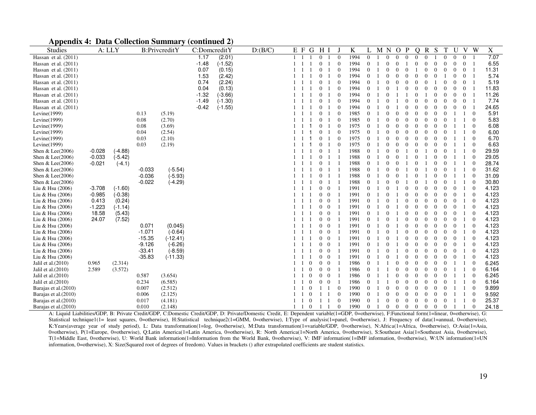| <b>Appendix 4: Data Collection Summary (continued 2)</b> |  |
|----------------------------------------------------------|--|
|----------------------------------------------------------|--|

| <b>Studies</b>         | A: LLY   |           |          | B:PrivcreditY | C:DomcreditY |           | D:(B/C) | E F |                                  | G                | H I                              |                  | K    |              | M N |                | $\Omega$ | P              | O              | $\mathbf R$    | S        | T              | U              |                | V W              | $\mathbf X$ |
|------------------------|----------|-----------|----------|---------------|--------------|-----------|---------|-----|----------------------------------|------------------|----------------------------------|------------------|------|--------------|-----|----------------|----------|----------------|----------------|----------------|----------|----------------|----------------|----------------|------------------|-------------|
| Hassan et al. (2011)   |          |           |          |               | 1.17         | (2.01)    |         |     |                                  |                  | $\overline{0}$<br>-1             | $\theta$         | 1994 | $\theta$     |     | $\Omega$       | $\Omega$ | $\Omega$       | $\Omega$       | $\Omega$       |          |                | $\Omega$       | $\overline{0}$ | $\overline{1}$   | 7.07        |
| Hassan et al. $(2011)$ |          |           |          |               | $-1.48$      | $(-1.52)$ |         |     |                                  |                  | $\boldsymbol{0}$<br>-1           | $\overline{0}$   | 1994 | $\Omega$     |     | $\Omega$       | $\theta$ |                |                |                |          |                | $\Omega$       | $\overline{0}$ | $\overline{1}$   | 6.55        |
| Hassan et al. $(2011)$ |          |           |          |               | 0.07         | (0.15)    |         |     |                                  | $\mathbf{0}$     |                                  | $\theta$         | 1994 | $\theta$     |     | $\Omega$       | $\theta$ |                |                | $\Omega$       |          |                | $\theta$       | $\mathbf{0}$   | -1               | 11.31       |
| Hassan et al. $(2011)$ |          |           |          |               | 1.53         | (2.42)    |         |     |                                  | $\boldsymbol{0}$ | -1                               | $\overline{0}$   | 1994 | $\theta$     |     | $\Omega$       | $\Omega$ | $\Omega$       | 0              |                |          |                | 0              | $\theta$       | $\overline{1}$   | 5.74        |
| Hassan et al. $(2011)$ |          |           |          |               | 0.74         | (2.24)    |         |     |                                  |                  | $\mathbf{0}$<br>-1               | $\theta$         | 1994 | $\Omega$     |     |                | $\Omega$ |                |                |                |          |                | $\Omega$       | $\overline{0}$ |                  | 5.19        |
| Hassan et al. $(2011)$ |          |           |          |               | 0.04         | (0.13)    |         |     |                                  |                  | $\mathbf{0}$<br>-1               | $\overline{0}$   | 1994 | $\theta$     |     | $\Omega$       |          |                |                |                |          |                | $\theta$       | $\overline{0}$ | -1               | 11.83       |
| Hassan et al. $(2011)$ |          |           |          |               | $-1.32$      | $(-3.66)$ |         |     |                                  | $\mathbf{0}$     |                                  | $\theta$         | 1994 | $\Omega$     |     |                |          |                |                |                |          |                | 0              | $\mathbf{0}$   |                  | 11.26       |
| Hassan et al. $(2011)$ |          |           |          |               | $-1.49$      | $(-1.30)$ |         |     |                                  | $\overline{0}$   | -1                               | $\overline{0}$   | 1994 | $\Omega$     |     | $\Omega$       |          |                |                |                |          |                | $\Omega$       | $\Omega$       | $\overline{1}$   | 7.74        |
| Hassan et al. $(2011)$ |          |           |          |               | $-0.42$      | $(-1.55)$ |         |     |                                  | $\mathbf{0}$     |                                  | $\boldsymbol{0}$ | 1994 | $\mathbf{0}$ |     |                |          |                |                |                |          |                | $\theta$       | $\theta$       |                  | 24.65       |
| Levine $(1999)$        |          |           | 0.13     | (5.19)        |              |           |         |     |                                  |                  | $\mathbf{0}$<br>-1               | $\Omega$         | 1985 | $\Omega$     |     | $\Omega$       | $\Omega$ |                |                |                |          |                |                |                | $\overline{0}$   | 5.91        |
| Levine $(1999)$        |          |           | 0.08     | (2.70)        |              |           |         |     |                                  | $\mathbf{0}$     | -1                               | $\theta$         | 1985 | $\Omega$     |     |                | $\Omega$ |                |                |                |          |                |                |                | $\theta$         | 5.83        |
| Levine $(1999)$        |          |           | 0.08     | (3.69)        |              |           |         |     |                                  | $\theta$         | -1                               | $\overline{0}$   | 1975 | $\theta$     |     | $\Omega$       | $\Omega$ |                |                |                |          |                |                |                | $\theta$         | 6.08        |
| Levine $(1999)$        |          |           | 0.04     | (2.54)        |              |           |         |     |                                  |                  | $\mathbf{0}$<br>-1               | $\overline{0}$   | 1975 | $\theta$     |     | $\Omega$       | $\theta$ | $\Omega$       |                | $\Omega$       |          | $\theta$       |                |                | $\theta$         | 6.00        |
| Levine $(1999)$        |          |           | 0.03     | (2.10)        |              |           |         |     |                                  |                  | $\mathbf{0}$<br>- 1              | $\Omega$         | 1975 | $\theta$     |     | $\theta$       | $\theta$ | $\Omega$       | 0              | $\Omega$       |          | $\theta$       |                |                | $\theta$         | 6.70        |
| Levine $(1999)$        |          |           | 0.03     | (2.19)        |              |           |         |     |                                  |                  | $\mathbf{0}$<br>-1               | $\overline{0}$   | 1975 | $\theta$     |     | $\Omega$       | $\theta$ |                |                |                |          |                |                |                | $\overline{0}$   | 6.63        |
| Shen & Lee $(2006)$    | $-0.028$ | $(-4.88)$ |          |               |              |           |         |     |                                  |                  | $\mathbf{0}$                     |                  | 1988 | $\theta$     |     | $\Omega$       | $\Omega$ |                |                |                |          |                |                |                | $\boldsymbol{0}$ | 29.59       |
| Shen & Lee $(2006)$    | $-0.033$ | $(-5.42)$ |          |               |              |           |         |     |                                  | $\overline{0}$   | - 1                              |                  | 1988 | $\theta$     |     | $\Omega$       |          |                |                |                |          | $\Omega$       |                |                | $\theta$         | 29.05       |
| Shen & Lee $(2006)$    | $-0.021$ | $(-4.1)$  |          |               |              |           |         |     |                                  |                  | $\overline{0}$                   |                  | 1988 | $\mathbf{0}$ |     |                | $\Omega$ |                |                |                |          | $\bf{0}$       |                |                | $\mathbf 0$      | 28.74       |
| Shen & Lee $(2006)$    |          |           | $-0.033$ | $(-5.54)$     |              |           |         |     |                                  |                  | $\mathbf{0}$<br>- 1              |                  | 1988 | $\theta$     |     |                |          |                |                |                |          |                |                |                | $\theta$         | 31.62       |
| Shen & Lee $(2006)$    |          |           | $-0.036$ | $(-5.93)$     |              |           |         |     |                                  |                  | $\mathbf{0}$                     |                  | 1988 | $\mathbf{0}$ |     |                |          |                |                |                |          |                |                |                | $\theta$         | 31.09       |
| Shen & Lee(2006)       |          |           | $-0.022$ | $(-4.29)$     |              |           |         |     |                                  |                  | $\mathbf{0}$<br>- 1              | $\overline{1}$   | 1988 | $\theta$     |     | $\theta$       | $\Omega$ |                |                |                |          | $\theta$       |                |                | $\theta$         | 30.80       |
| Liu & Hsu (2006)       | $-3.708$ | $(-1.60)$ |          |               |              |           |         |     |                                  |                  | $0\quad 0$                       |                  | 1991 | $\theta$     |     | $\theta$       |          |                |                |                |          |                | $\overline{0}$ |                | $\theta$         | 4.123       |
| Liu & Hsu $(2006)$     | $-0.985$ | $(-0.38)$ |          |               |              |           |         |     |                                  |                  | $0\quad 0$                       |                  | 1991 | $\theta$     |     | $\Omega$       |          |                |                |                |          |                | $\overline{0}$ |                | $\theta$         | 4.123       |
| Liu & Hsu $(2006)$     | 0.413    | (0.24)    |          |               |              |           |         |     |                                  |                  | $\overline{0}$<br>$\overline{0}$ |                  | 1991 | $\theta$     |     | $\Omega$       |          |                |                |                |          |                | $\theta$       |                | $\theta$         | 4.123       |
| Liu & Hsu (2006)       | $-1.223$ | $(-1.14)$ |          |               |              |           |         |     |                                  |                  | $\overline{0}$<br>$\overline{0}$ | $\overline{1}$   | 1991 | $\theta$     |     | $\Omega$       |          |                |                |                |          |                | $\Omega$       |                | $\theta$         | 4.123       |
| Liu & Hsu (2006)       | 18.58    | (5.43)    |          |               |              |           |         |     |                                  |                  | $\overline{0}$<br>$\overline{0}$ |                  | 1991 | $\Omega$     |     |                |          |                |                |                |          |                | $\Omega$       |                | $\Omega$         | 4.123       |
| Liu & Hsu (2006)       | 24.07    | (7.52)    |          |               |              |           |         |     |                                  |                  | $0\quad 0$                       |                  | 1991 | $\Omega$     |     | -0             |          |                |                |                |          |                | $\overline{0}$ |                | $\boldsymbol{0}$ | 4.123       |
| Liu & Hsu (2006)       |          |           | 0.071    | (0.045)       |              |           |         |     |                                  |                  | $\mathbf{0}$<br>$\overline{0}$   |                  | 1991 | $\theta$     |     |                |          |                |                |                |          |                | $\theta$       |                | $\theta$         | 4.123       |
| Liu & Hsu $(2006)$     |          |           | $-1.071$ | $(-0.64)$     |              |           |         |     |                                  |                  | $\mathbf{0}$<br>$\overline{0}$   | $\overline{1}$   | 1991 | $\theta$     |     | $\Omega$       |          |                |                |                |          |                | $\Omega$       |                | $\theta$         | 4.123       |
| Liu & Hsu $(2006)$     |          |           | $-15.35$ | $(-12.41)$    |              |           |         |     |                                  |                  | $\overline{0}$<br>$\overline{0}$ | -1               | 1991 | $\theta$     |     | $\theta$       |          | $\Omega$       |                |                |          | $\theta$       | $\theta$       |                | $\theta$         | 4.123       |
| Liu & Hsu (2006)       |          |           | $-9.126$ | $(-6.26)$     |              |           |         |     |                                  |                  | $0\quad 0$                       |                  | 1991 | $\theta$     |     | $\theta$       |          |                | 0              |                |          |                | $\overline{0}$ |                | $\theta$         | 4.123       |
| Liu & Hsu $(2006)$     |          |           | $-33.41$ | $(-8.59)$     |              |           |         |     |                                  |                  | $\overline{0}$<br>$\overline{0}$ |                  | 1991 | $\Omega$     |     |                |          |                |                |                |          |                | $\Omega$       |                | $\theta$         | 4.123       |
| Liu & Hsu (2006)       |          |           | $-35.83$ | $(-11.33)$    |              |           |         |     |                                  |                  | $\mathbf{0}$<br>$\overline{0}$   | $\overline{1}$   | 1991 | $\theta$     |     | $\Omega$       |          |                |                |                |          |                | 0              |                | $\boldsymbol{0}$ | 4.123       |
| Jalil et al. $(2010)$  | 0.965    | (2.314)   |          |               |              |           |         |     | $\mathbf{0}$                     |                  | $0\quad 0$                       |                  | 1986 | $\Omega$     |     |                |          |                |                |                |          |                |                |                | $\theta$         | 6.245       |
| Jalil et al. $(2010)$  | 2.589    | (3.572)   |          |               |              |           |         |     | $\Omega$                         |                  | $0\quad 0$                       |                  | 1986 | $\Omega$     |     |                |          |                |                |                |          |                |                |                | $\theta$         | 6.164       |
| Jalil et al. $(2010)$  |          |           | 0.587    | (3.654)       |              |           |         |     | $\overline{0}$                   |                  | $0\quad 0$                       |                  | 1986 | $\theta$     |     |                |          |                |                |                |          |                |                |                | $\theta$         | 6.245       |
| Jalil et al. (2010)    |          |           | 0.234    | (6.585)       |              |           |         |     | $\Omega$                         |                  | $0\quad 0$                       |                  | 1986 | $\theta$     |     |                |          |                |                |                |          |                |                |                | $\theta$         | 6.164       |
| Barajas et al. (2010)  |          |           | 0.007    | (2.512)       |              |           |         |     |                                  | $\overline{0}$   |                                  | $1\quad1\quad0$  | 1990 | $\theta$     |     | $\Omega$       | $\Omega$ | $\Omega$       |                | $\Omega$       |          | $\Omega$       |                |                | $\theta$         | 9.899       |
| Barajas et al. (2010)  |          |           | 0.006    | (2.125)       |              |           |         |     | $\theta$                         |                  | 1                                | $\overline{0}$   | 1990 | $\mathbf{0}$ |     | $\Omega$       | $\theta$ | $\Omega$       |                |                | $\Omega$ | $\theta$       |                |                | $\theta$         | 9.592       |
| Barajas et al. (2010)  |          |           | 0.017    | (4.181)       |              |           |         |     | $\mathbf{0}$                     |                  | 1 1                              | $\overline{0}$   | 1990 | $\theta$     |     | $\overline{0}$ | $\theta$ | $\Omega$       | $\Omega$       | $\theta$       | $\Omega$ | $\theta$       |                |                | $\mathbf{0}$     | 25.37       |
| Barajas et al.(2010)   |          |           | 0.010    | (2.148)       |              |           |         |     | $\overline{0}$<br>$\overline{1}$ |                  | $\mathbf{1}$                     | $\overline{0}$   | 1990 | $\theta$     |     | $\Omega$       | $\theta$ | $\overline{0}$ | $\overline{0}$ | $\overline{0}$ | $\theta$ | $\overline{0}$ | $\overline{1}$ |                | $\overline{0}$   | 24.18       |

A: Liquid Liabilities/GDP, B: Private Credit/GDP, C:Domestic Credit/GDP, D: Private/Domestic Credit, E: Dependent variable(1=GDP, 0=otherwise), F:Functional form(1=linear, 0=otherwise), G: Statistical technique1(1= least squares, 0=otherwise), H:Statistical technique2(1=GMM, 0=otherwise), I:Type of analysis(1=panel, 0=otherwise), J: Frequency of data(1=annual, 0=otherwise), K:Years(average year of study period), L: Data transformation(1=log, 0=otherwise), M:Data transformation(1=variable/GDP, 0=otherwise), N:Africa(1=Africa, 0=otherwise), O:Asia(1=Asia, 0=otherwise), P(1=Europe, 0=otherwise), Q:Latin America(1=Latin America, 0=otherwise), R: North America(1=North America, 0=otherwise), S:Southeast Asia(1=Southeast Asia, 0=otherwise), T(1=Middle East, 0=otherwise), U: World Bank information(1=Information from the World Bank, 0=otherwise), V: IMF information(1=IMF information, 0=otherwise), W:UN information(1=UN information, 0=otherwise), X: Size(Squared root of degrees of freedom). Values in brackets () after extrapolated coefficients are student statistics.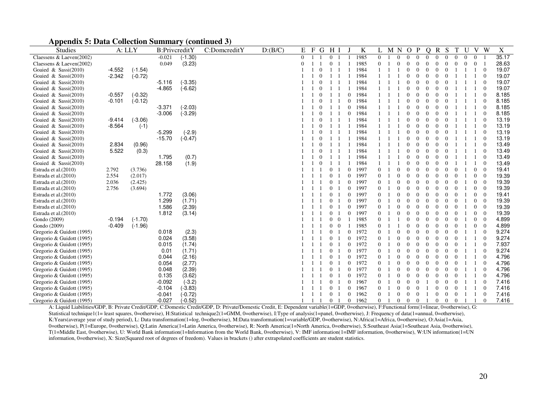|  |  |  |  | <b>Appendix 5: Data Collection Summary (continued 3)</b> |  |  |  |
|--|--|--|--|----------------------------------------------------------|--|--|--|
|--|--|--|--|----------------------------------------------------------|--|--|--|

| <b>Studies</b>            |          | A: LLY    | B:PrivcreditY |           | C:DomcreditY | D: (B/C) | Ε        | $\mathbf F$<br>G | H <sub>1</sub> |                  | K    |                | M N |          | $\Omega$<br>P                    | $\Omega$ | R            | S              |                |          | V              | W              | X     |
|---------------------------|----------|-----------|---------------|-----------|--------------|----------|----------|------------------|----------------|------------------|------|----------------|-----|----------|----------------------------------|----------|--------------|----------------|----------------|----------|----------------|----------------|-------|
| Claessens & Laeven(2002)  |          |           | $-0.021$      | $(-1.30)$ |              |          | $\Omega$ |                  | $\Omega$       |                  | 1985 | $\Omega$       |     |          | $\Omega$<br>$\Omega$             | $\Omega$ | $\Omega$     | $\Omega$       | $\theta$       | $\Omega$ | $\Omega$       |                | 35.17 |
| Claessens & Laeven(2002)  |          |           | 0.049         | (3.23)    |              |          | $\Omega$ |                  |                |                  | 1985 |                |     |          |                                  |          |              |                | $\Omega$       | $\Omega$ | $\Omega$       |                | 28.63 |
| Goaied & Sassi $(2010)$   | $-4.552$ | $(-1.54)$ |               |           |              |          |          |                  |                |                  | 1984 |                |     |          |                                  |          |              |                |                |          |                | $\Omega$       | 19.07 |
| Goaied & Sassi $(2010)$   | $-2.342$ | $(-0.72)$ |               |           |              |          |          |                  |                |                  | 1984 |                |     |          |                                  |          |              |                |                |          |                | $\Omega$       | 19.07 |
| Goaied & Sassi(2010)      |          |           | $-5.116$      | $(-3.35)$ |              |          |          |                  |                |                  | 1984 |                |     |          |                                  |          |              |                |                |          |                | $\Omega$       | 19.07 |
| Goaied & Sassi $(2010)$   |          |           | $-4.865$      | $(-6.62)$ |              |          |          | $\Omega$         |                |                  | 1984 |                |     |          |                                  |          |              |                |                |          |                | $\theta$       | 19.07 |
| Goaied & Sassi $(2010)$   | $-0.557$ | $(-0.32)$ |               |           |              |          |          | $\Omega$         |                | $\Omega$         | 1984 |                |     |          |                                  |          |              |                |                |          |                | $\Omega$       | 8.185 |
| Goaied & Sassi $(2010)$   | $-0.101$ | $(-0.12)$ |               |           |              |          |          |                  |                | $\overline{0}$   | 1984 |                |     |          |                                  |          |              |                |                |          |                | $\Omega$       | 8.185 |
| Goaied & Sassi $(2010)$   |          |           | $-3.371$      | $(-2.03)$ |              |          |          |                  |                | $\theta$         | 1984 |                |     |          |                                  |          |              |                |                |          |                | $\overline{0}$ | 8.185 |
| Goaied & Sassi $(2010)$   |          |           | $-3.006$      | $(-3.29)$ |              |          |          |                  |                | $\theta$         | 1984 |                |     |          |                                  |          |              |                |                |          |                | $\Omega$       | 8.185 |
| Goaied & Sassi $(2010)$   | $-9.414$ | $(-3.06)$ |               |           |              |          |          |                  |                |                  | 1984 |                |     |          |                                  |          |              |                |                |          |                | $\Omega$       | 13.19 |
| Goaied $\&$ Sassi(2010)   | $-8.564$ | $(-1)$    |               |           |              |          |          |                  |                |                  | 1984 |                |     |          |                                  |          |              |                |                |          |                | $\Omega$       | 13.19 |
| Goaied & Sassi $(2010)$   |          |           | $-5.299$      | $(-2.9)$  |              |          |          |                  |                |                  | 1984 |                |     |          |                                  |          |              |                |                |          |                | $\Omega$       | 13.19 |
| Goaied & Sassi $(2010)$   |          |           | $-15.70$      | $(-0.47)$ |              |          |          |                  |                |                  | 1984 |                |     |          |                                  |          |              |                |                |          |                | $\Omega$       | 13.19 |
| Goaied & Sassi(2010)      | 2.834    | (0.96)    |               |           |              |          |          |                  |                |                  | 1984 |                |     |          |                                  |          |              |                |                |          |                | $\Omega$       | 13.49 |
| Goaied & Sassi $(2010)$   | 5.522    | (0.3)     |               |           |              |          |          | $\Omega$         |                |                  | 1984 |                |     |          |                                  | 0        | 0            | $\Omega$       |                |          |                | $\Omega$       | 13.49 |
| Goaied & Sassi $(2010)$   |          |           | 1.795         | (0.7)     |              |          |          | $\overline{0}$   |                |                  | 1984 |                |     |          |                                  |          | 0            |                |                |          |                | $\Omega$       | 13.49 |
| Goaied & Sassi $(2010)$   |          |           | 28.158        | (1.9)     |              |          |          |                  |                |                  | 1984 |                |     |          |                                  |          |              |                |                |          |                | $\Omega$       | 13.49 |
| Estrada et al.(2010)      | 2.792    | (3.736)   |               |           |              |          |          |                  |                | $\boldsymbol{0}$ | 1997 |                |     |          |                                  |          |              |                | $\Omega$       |          | $\Omega$       | $\theta$       | 19.41 |
| Estrada et al.(2010)      | 2.554    | (2.017)   |               |           |              |          |          |                  |                | $\Omega$         | 1997 |                |     |          |                                  |          |              | $\Omega$       | $\Omega$       |          | $\overline{0}$ | $\overline{0}$ | 19.39 |
| Estrada et al.(2010)      | 2.036    | (2.425)   |               |           |              |          |          |                  | $\Omega$       | $\Omega$         | 1997 |                |     |          |                                  |          |              |                |                |          | $\Omega$       | $\Omega$       | 19.39 |
| Estrada et al. (2010)     | 2.756    | (3.694)   |               |           |              |          |          |                  |                | $\mathbf{0}$     | 1997 |                |     |          |                                  |          |              |                |                |          | $\overline{0}$ | $\Omega$       | 19.39 |
| Estrada et al. (2010)     |          |           | 1.772         | (3.06)    |              |          |          |                  |                | $\theta$         | 1997 |                |     |          |                                  |          |              |                |                |          | $\theta$       | $\overline{0}$ | 19.41 |
| Estrada et al.(2010)      |          |           | 1.299         | (1.71)    |              |          |          |                  |                | $\mathbf{0}$     | 1997 |                |     |          |                                  |          |              |                |                |          | $\Omega$       | $\Omega$       | 19.39 |
| Estrada et al. (2010)     |          |           | 1.586         | (2.39)    |              |          |          |                  |                | $\Omega$         | 1997 |                |     |          |                                  |          |              |                | $\Omega$       |          | $\theta$       | $\overline{0}$ | 19.39 |
| Estrada et al. (2010)     |          |           | 1.812         | (3.14)    |              |          |          |                  | $\Omega$       | $\Omega$         | 1997 |                |     |          |                                  |          |              | $\Omega$       | $\theta$       |          | $\Omega$       | $\Omega$       | 19.39 |
| Gondo (2009)              | $-0.194$ | $(-1.70)$ |               |           |              |          |          |                  | $\theta$       | $\overline{0}$   | 1985 |                |     |          |                                  |          |              | $\Omega$       | $\theta$       |          | $\overline{0}$ | $\Omega$       | 4.899 |
| Gondo (2009)              | $-0.409$ | $(-1.96)$ |               |           |              |          |          |                  | $\overline{0}$ | $\overline{0}$   | 1985 |                |     |          |                                  |          |              |                |                |          | $\overline{0}$ | $\Omega$       | 4.899 |
| Gregorio & Guidott (1995) |          |           | 0.018         | (2.3)     |              |          |          |                  |                | $\theta$         | 1972 |                |     |          |                                  |          |              |                |                |          |                | $\Omega$       | 9.274 |
| Gregorio & Guidott (1995) |          |           | 0.024         | (3.58)    |              |          |          |                  |                | $\Omega$         | 1972 |                |     |          |                                  |          | 0            | $\Omega$       |                |          |                | $\Omega$       | 9.274 |
| Gregorio & Guidott (1995) |          |           | 0.015         | (1.74)    |              |          |          |                  | $\Omega$       | $\theta$         | 1972 |                |     |          |                                  |          |              |                |                |          |                | $\Omega$       | 7.937 |
| Gregorio & Guidott (1995) |          |           | 0.01          | (1.71)    |              |          |          |                  | $\theta$       | $\mathbf{0}$     | 1977 |                |     |          |                                  |          |              |                | $\Omega$       |          |                | $\Omega$       | 9.274 |
| Gregorio & Guidott (1995) |          |           | 0.044         | (2.16)    |              |          |          |                  |                | $\theta$         | 1972 |                |     |          |                                  |          |              |                |                |          |                | $\Omega$       | 4.796 |
| Gregorio & Guidott (1995) |          |           | 0.054         | (2.77)    |              |          |          |                  |                | $\mathbf{0}$     | 1972 |                |     |          |                                  |          |              |                |                |          |                | $\Omega$       | 4.796 |
| Gregorio & Guidott (1995) |          |           | 0.048         | (2.39)    |              |          |          |                  |                | $\mathbf{0}$     | 1977 |                |     |          |                                  |          |              | 0              |                |          |                | $\Omega$       | 4.796 |
| Gregorio & Guidott (1995) |          |           | 0.135         | (3.62)    |              |          |          |                  | $\Omega$       | $\theta$         | 1972 |                |     |          |                                  |          | $\Omega$     | $\Omega$       | $\Omega$       |          |                | $\Omega$       | 4.796 |
| Gregorio & Guidott (1995) |          |           | $-0.092$      | $(-3.2)$  |              |          |          |                  | $\overline{0}$ | $\theta$         | 1967 |                |     |          |                                  |          |              | $\Omega$       | $\Omega$       |          |                | $\overline{0}$ | 7.416 |
| Gregorio & Guidott (1995) |          |           | $-0.104$      | $(-3.83)$ |              |          |          |                  |                | $\Omega$         | 1967 |                |     |          |                                  |          | 0            | $\Omega$       | $\Omega$       |          |                | $\Omega$       | 7.416 |
| Gregorio & Guidott (1995) |          |           | $-0.041$      | $(-0.72)$ |              |          |          |                  | $\overline{0}$ | $\theta$         | 1962 | $\overline{0}$ |     |          |                                  |          | $\Omega$     |                | $\theta$       |          |                | $\Omega$       | 7.416 |
| Gregorio & Guidott (1995) |          |           | $-0.027$      | $(-0.52)$ |              |          |          |                  | $\overline{0}$ | $\theta$         | 1962 | $\overline{0}$ |     | $\theta$ | $\overline{0}$<br>$\overline{0}$ |          | $\mathbf{0}$ | $\overline{0}$ | $\overline{0}$ |          |                | $\overline{0}$ | 7.416 |

A: Liquid Liabilities/GDP, B: Private Credit/GDP, C:Domestic Credit/GDP, D: Private/Domestic Credit, E: Dependent variable(1=GDP, 0=otherwise), F:Functional form(1=linear, 0=otherwise), G: Statistical technique1(1= least squares, 0=otherwise), H:Statistical technique2(1=GMM, 0=otherwise), I:Type of analysis(1=panel, 0=otherwise), J: Frequency of data(1=annual, 0=otherwise), K:Years(average year of study period), L: Data transformation(1=log, 0=otherwise), M:Data transformation(1=variable/GDP, 0=otherwise), N:Africa(1=Africa, 0=otherwise), O:Asia(1=Asia, 0=otherwise), P(1=Europe, 0=otherwise), Q:Latin America(1=Latin America, 0=otherwise), R: North America(1=North America, 0=otherwise), S:Southeast Asia(1=Southeast Asia, 0=otherwise), T(1=Middle East, 0=otherwise), U: World Bank information(1=Information from the World Bank, 0=otherwise), V: IMF information(1=IMF information, 0=otherwise), W:UN information(1=UN information, 0=otherwise), X: Size(Squared root of degrees of freedom). Values in brackets () after extrapolated coefficients are student statistics.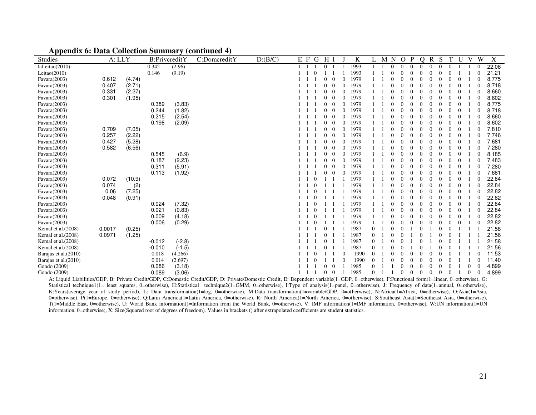|  |  |  |  | <b>Appendix 6: Data Collection Summary (continued 4)</b> |  |  |  |
|--|--|--|--|----------------------------------------------------------|--|--|--|
|--|--|--|--|----------------------------------------------------------|--|--|--|

| <b>Studies</b>        | A: LLY |        | B:PrivcreditY |          | C:DomcreditY | D:(B/C) | E F | G<br>H   |          |          | K    |          | M | $\mathbf N$ | $\Omega$ | P        | Ω        | R        | S        | т        |          | V        | W        | X     |
|-----------------------|--------|--------|---------------|----------|--------------|---------|-----|----------|----------|----------|------|----------|---|-------------|----------|----------|----------|----------|----------|----------|----------|----------|----------|-------|
| laLeitao(2010)        |        |        | 0.342         | (2.96)   |              |         |     | $\Omega$ |          |          | 1993 |          |   | $\Omega$    | $\Omega$ | $\Omega$ | $\Omega$ | $\Omega$ | $\Omega$ | $\Omega$ |          |          |          | 22.06 |
| Leitao $(2010)$       |        |        | 0.146         | (9.19)   |              |         |     |          |          |          | 1993 |          |   |             |          | $\Omega$ |          |          |          |          |          |          |          | 21.21 |
| Favara(2003)          | 0.612  | (4.74) |               |          |              |         |     |          |          |          | 1979 |          |   |             |          | $\Omega$ |          |          |          |          |          |          |          | 8.775 |
| Favara(2003)          | 0.407  | (2.71) |               |          |              |         |     |          | $\Omega$ |          | 1979 |          |   |             |          | $\Omega$ |          |          |          |          |          |          |          | 8.718 |
| Favara(2003)          | 0.331  | (2.27) |               |          |              |         |     | $\Omega$ | $\Omega$ |          | 1979 |          |   |             |          | $\Omega$ |          |          |          |          | $\Omega$ |          |          | 8.660 |
| Favara(2003)          | 0.301  | (1.95) |               |          |              |         |     |          | $\theta$ | $\Omega$ | 1979 |          |   |             |          | $\Omega$ |          |          |          |          |          |          |          | 8.602 |
| Favara(2003)          |        |        | 0.389         | (3.83)   |              |         |     |          |          | $\Omega$ | 1979 |          |   |             |          | $\Omega$ |          |          |          |          |          |          |          | 8.775 |
| Favara(2003)          |        |        | 0.244         | (1.82)   |              |         |     |          | $\Omega$ |          | 1979 |          |   |             |          | $\Omega$ |          |          |          |          |          |          |          | 8.718 |
| Favara(2003)          |        |        | 0.215         | (2.54)   |              |         |     |          |          |          | 1979 |          |   |             |          |          |          |          |          |          |          |          |          | 8.660 |
| Favara(2003)          |        |        | 0.198         | (2.09)   |              |         |     |          |          |          | 1979 |          |   |             |          |          |          |          |          |          |          |          |          | 8.602 |
| Favara(2003)          | 0.709  | (7.05) |               |          |              |         |     |          |          |          | 1979 |          |   |             |          |          |          |          |          |          |          |          |          | 7.810 |
| Favara(2003)          | 0.257  | (2.22) |               |          |              |         |     |          | $\Omega$ |          | 1979 |          |   |             |          | $\Omega$ |          |          |          |          |          |          |          | 7.746 |
| Favara(2003)          | 0.427  | (5.28) |               |          |              |         |     |          | $\Omega$ | 0        | 1979 |          |   |             |          | $\Omega$ |          |          |          |          |          |          |          | 7.681 |
| Favara(2003)          | 0.582  | (6.56) |               |          |              |         |     | $\Omega$ | $\Omega$ | $\Omega$ | 1979 |          |   |             | 0        | $\Omega$ |          |          |          |          | $\Omega$ |          |          | 7.280 |
| Favara(2003)          |        |        | 0.545         | (6.9)    |              |         |     |          | $\Omega$ | $\Omega$ | 1979 |          |   |             |          | $\Omega$ |          |          |          |          | $\Omega$ |          |          | 8.185 |
| Favara(2003)          |        |        | 0.187         | (2.23)   |              |         |     |          | $\theta$ | $\Omega$ | 1979 |          |   |             | 0        | $\Omega$ |          |          |          |          | 0        |          |          | 7.483 |
| Favara(2003)          |        |        | 0.311         | (5.91)   |              |         |     |          | $\Omega$ |          | 1979 |          |   |             |          | $\Omega$ |          |          |          |          |          |          |          | 7.280 |
| Favara(2003)          |        |        | 0.113         | (1.92)   |              |         |     |          |          |          | 1979 |          |   |             |          | $\Omega$ |          |          |          |          |          |          |          | 7.681 |
| Favara(2003)          | 0.072  | (10.9) |               |          |              |         |     |          |          |          | 1979 |          |   |             |          | $\Omega$ |          |          |          |          |          |          |          | 22.84 |
| Favara(2003)          | 0.074  | (2)    |               |          |              |         |     |          |          |          | 1979 |          |   |             |          |          |          |          |          |          |          |          |          | 22.84 |
| Favara(2003)          | 0.06   | (7.25) |               |          |              |         |     |          |          |          | 1979 |          |   |             |          | $\Omega$ |          |          |          |          |          |          |          | 22.82 |
| Favara(2003)          | 0.048  | (0.91) |               |          |              |         |     |          |          |          | 1979 |          |   |             |          | $\Omega$ |          |          |          |          |          |          |          | 22.82 |
| Favara(2003)          |        |        | 0.024         | (7.32)   |              |         |     |          |          |          | 1979 |          |   |             |          | $\Omega$ |          |          |          |          | $\Omega$ |          |          | 22.84 |
| Favara(2003)          |        |        | 0.021         | (0.83)   |              |         |     |          |          |          | 1979 |          |   |             |          | $\Omega$ |          |          |          |          | $\Omega$ |          |          | 22.84 |
| Favara(2003)          |        |        | 0.009         | (4.18)   |              |         |     |          |          |          | 1979 |          |   |             |          | $\Omega$ |          |          |          |          | $\Omega$ |          |          | 22.82 |
| Favara(2003)          |        |        | 0.006         | (0.29)   |              |         |     |          |          |          | 1979 |          |   |             |          | $\Omega$ |          |          |          |          |          |          |          | 22.82 |
| Kemal et al. (2008)   | 0.0017 | (0.25) |               |          |              |         |     |          |          |          | 1987 | $\Omega$ |   |             |          |          |          |          |          |          |          |          |          | 21.58 |
| Kemal et al. (2008)   | 0.0971 | (1.25) |               |          |              |         |     |          |          |          | 1987 | 0        |   |             |          |          |          |          |          |          |          |          |          | 21.56 |
| Kemal et al. (2008)   |        |        | $-0.012$      | $(-2.8)$ |              |         |     |          |          |          | 1987 | 0        |   |             |          |          |          |          |          |          |          |          |          | 21.58 |
| Kemal et al.(2008)    |        |        | $-0.010$      | $(-1.5)$ |              |         |     |          |          |          | 1987 | 0        |   |             |          |          |          |          |          |          |          |          |          | 21.56 |
| Barajas et al. (2010) |        |        | 0.018         | (4.266)  |              |         |     |          |          |          | 1990 |          |   |             |          | $\Omega$ |          |          |          |          |          |          |          | 11.53 |
| Barajas et al. (2010) |        |        | 0.014         | (2.697)  |              |         |     |          |          |          | 1990 |          |   |             |          |          |          |          |          |          |          |          |          | 11.40 |
| Gondo (2009)          |        |        | 0.086         | (3.18)   |              |         |     |          | $\theta$ |          | 1985 |          |   |             |          | $\Omega$ |          | 0        |          |          |          |          |          | 4.899 |
| Gondo (2009)          |        |        | 0.089         | (3.06)   |              |         |     | $\Omega$ | $\Omega$ |          | 1985 | $\Omega$ |   |             | $\Omega$ | $\Omega$ | $\Omega$ | $\Omega$ | $\Omega$ | $\Omega$ |          | $\Omega$ | $\Omega$ | 4.899 |

A: Liquid Liabilities/GDP, B: Private Credit/GDP, C:Domestic Credit/GDP, D: Private/Domestic Credit, E: Dependent variable(1=GDP, 0=otherwise), F:Functional form(1=linear, 0=otherwise), G: Statistical technique1(1= least squares, 0=otherwise), H:Statistical technique2(1=GMM, 0=otherwise), I:Type of analysis(1=panel, 0=otherwise), J: Frequency of data(1=annual, 0=otherwise), K:Years(average year of study period), L: Data transformation(1=log, 0=otherwise), M:Data transformation(1=variable/GDP, 0=otherwise), N:Africa(1=Africa, 0=otherwise), O:Asia(1=Asia, 0=otherwise), P(1=Europe, 0=otherwise), Q:Latin America(1=Latin America, 0=otherwise), R: North America(1=North America, 0=otherwise), S:Southeast Asia(1=Southeast Asia, 0=otherwise), T(1=Middle East, 0=otherwise), U: World Bank information(1=Information from the World Bank, 0=otherwise), V: IMF information(1=IMF information, 0=otherwise), W:UN information(1=UN information, 0=otherwise), X: Size(Squared root of degrees of freedom). Values in brackets () after extrapolated coefficients are student statistics.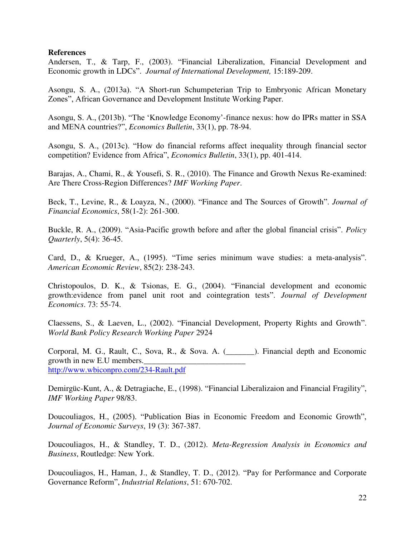## **References**

Andersen, T., & Tarp, F., (2003). "Financial Liberalization, Financial Development and Economic growth in LDCs". *Journal of International Development,* 15:189-209.

Asongu, S. A., (2013a). "A Short-run Schumpeterian Trip to Embryonic African Monetary Zones", African Governance and Development Institute Working Paper.

Asongu, S. A., (2013b). "The 'Knowledge Economy'-finance nexus: how do IPRs matter in SSA and MENA countries?", *Economics Bulletin*, 33(1), pp. 78-94.

Asongu, S. A., (2013c). "How do financial reforms affect inequality through financial sector competition? Evidence from Africa", *Economics Bulletin*, 33(1), pp. 401-414.

Barajas, A., Chami, R., & Yousefi, S. R., (2010). The Finance and Growth Nexus Re-examined: Are There Cross-Region Differences? *IMF Working Paper*.

Beck, T., Levine, R., & Loayza, N., (2000). "Finance and The Sources of Growth". *Journal of Financial Economics*, 58(1-2): 261-300.

Buckle, R. A., (2009). "Asia-Pacific growth before and after the global financial crisis". *Policy Quarterly*, 5(4): 36-45.

Card, D., & Krueger, A., (1995). "Time series minimum wave studies: a meta-analysis". *American Economic Review*, 85(2): 238-243.

Christopoulos, D. K., & Tsionas, E. G., (2004). "Financial development and economic growth:evidence from panel unit root and cointegration tests". *Journal of Development Economics*. 73: 55-74.

Claessens, S., & Laeven, L., (2002). "Financial Development, Property Rights and Growth". *World Bank Policy Research Working Paper* 2924

Corporal, M. G., Rault, C., Sova, R., & Sova. A. (\_\_\_\_\_\_\_). Financial depth and Economic growth in new E.U members. <http://www.wbiconpro.com/234-Rault.pdf>

Demirgüc-Kunt, A., & Detragiache, E., (1998). "Financial Liberalizaion and Financial Fragility", *IMF Working Paper* 98/83.

Doucouliagos, H., (2005). "Publication Bias in Economic Freedom and Economic Growth", *Journal of Economic Surveys*, 19 (3): 367-387.

Doucouliagos, H., & Standley, T. D., (2012). *Meta-Regression Analysis in Economics and Business*, Routledge: New York.

Doucouliagos, H., Haman, J., & Standley, T. D., (2012). "Pay for Performance and Corporate Governance Reform", *Industrial Relations*, 51: 670-702.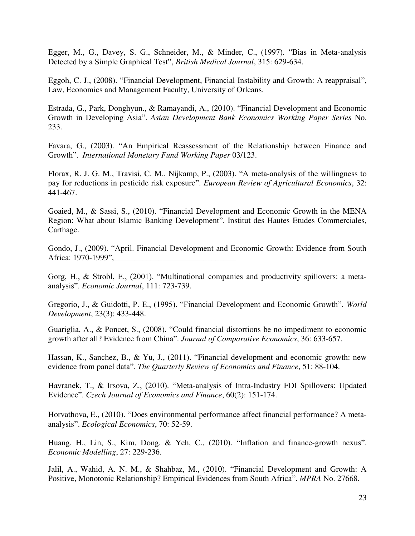Egger, M., G., Davey, S. G., Schneider, M., & Minder, C., (1997). "Bias in Meta-analysis Detected by a Simple Graphical Test", *British Medical Journal*, 315: 629-634.

Eggoh, C. J., (2008). "Financial Development, Financial Instability and Growth: A reappraisal", Law, Economics and Management Faculty, University of Orleans.

Estrada, G., Park, Donghyun., & Ramayandi, A., (2010). "Financial Development and Economic Growth in Developing Asia". *Asian Development Bank Economics Working Paper Series* No. 233.

Favara, G., (2003). "An Empirical Reassessment of the Relationship between Finance and Growth". *International Monetary Fund Working Paper* 03/123.

Florax, R. J. G. M., Travisi, C. M., Nijkamp, P., (2003). "A meta-analysis of the willingness to pay for reductions in pesticide risk exposure". *European Review of Agricultural Economics*, 32: 441-467.

Goaied, M., & Sassi, S., (2010). "Financial Development and Economic Growth in the MENA Region: What about Islamic Banking Development". Institut des Hautes Etudes Commerciales, Carthage.

Gondo, J., (2009). "April. Financial Development and Economic Growth: Evidence from South Africa: 1970-1999",

Gorg, H., & Strobl, E., (2001). "Multinational companies and productivity spillovers: a metaanalysis". *Economic Journal*, 111: 723-739.

Gregorio, J., & Guidotti, P. E., (1995). "Financial Development and Economic Growth". *World Development*, 23(3): 433-448.

Guariglia, A., & Poncet, S., (2008). "Could financial distortions be no impediment to economic growth after all? Evidence from China". *Journal of Comparative Economics*, 36: 633-657.

Hassan, K., Sanchez, B., & Yu, J., (2011). "Financial development and economic growth: new evidence from panel data". *The Quarterly Review of Economics and Finance*, 51: 88-104.

Havranek, T., & Irsova, Z., (2010). "Meta-analysis of Intra-Industry FDI Spillovers: Updated Evidence". *Czech Journal of Economics and Finance*, 60(2): 151-174.

Horvathova, E., (2010). "Does environmental performance affect financial performance? A metaanalysis". *Ecological Economics*, 70: 52-59.

Huang, H., Lin, S., Kim, Dong. & Yeh, C., (2010). "Inflation and finance-growth nexus". *Economic Modelling*, 27: 229-236.

Jalil, A., Wahid, A. N. M., & Shahbaz, M., (2010). "Financial Development and Growth: A Positive, Monotonic Relationship? Empirical Evidences from South Africa". *MPRA* No. 27668.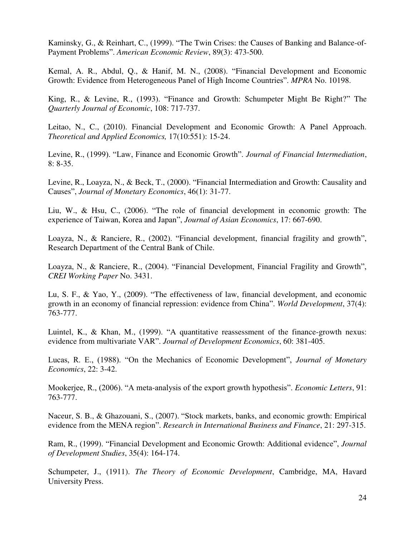Kaminsky, G., & Reinhart, C., (1999). "The Twin Crises: the Causes of Banking and Balance-of-Payment Problems". *American Economic Review*, 89(3): 473-500.

Kemal, A. R., Abdul, Q., & Hanif, M. N., (2008). "Financial Development and Economic Growth: Evidence from Heterogeneous Panel of High Income Countries". *MPRA* No. 10198.

King, R., & Levine, R., (1993). "Finance and Growth: Schumpeter Might Be Right?" The *Quarterly Journal of Economic*, 108: 717-737.

Leitao, N., C., (2010). Financial Development and Economic Growth: A Panel Approach. *Theoretical and Applied Economics,* 17(10:551): 15-24.

Levine, R., (1999). "Law, Finance and Economic Growth". *Journal of Financial Intermediation*, 8: 8-35.

Levine, R., Loayza, N., & Beck, T., (2000). "Financial Intermediation and Growth: Causality and Causes", *Journal of Monetary Economics*, 46(1): 31-77.

Liu, W., & Hsu, C., (2006). "The role of financial development in economic growth: The experience of Taiwan, Korea and Japan", *Journal of Asian Economics*, 17: 667-690.

Loayza, N., & Ranciere, R., (2002). "Financial development, financial fragility and growth", Research Department of the Central Bank of Chile.

Loayza, N., & Ranciere, R., (2004). "Financial Development, Financial Fragility and Growth", *CREI Working Paper* No. 3431.

Lu, S. F., & Yao, Y., (2009). "The effectiveness of law, financial development, and economic growth in an economy of financial repression: evidence from China". *World Development*, 37(4): 763-777.

Luintel, K., & Khan, M., (1999). "A quantitative reassessment of the finance-growth nexus: evidence from multivariate VAR". *Journal of Development Economics*, 60: 381-405.

Lucas, R. E., (1988). "On the Mechanics of Economic Development", *Journal of Monetary Economics*, 22: 3-42.

Mookerjee, R., (2006). "A meta-analysis of the export growth hypothesis". *Economic Letters*, 91: 763-777.

Naceur, S. B., & Ghazouani, S., (2007). "Stock markets, banks, and economic growth: Empirical evidence from the MENA region". *Research in International Business and Finance*, 21: 297-315.

Ram, R., (1999). "Financial Development and Economic Growth: Additional evidence", *Journal of Development Studies*, 35(4): 164-174.

Schumpeter, J., (1911). *The Theory of Economic Development*, Cambridge, MA, Havard University Press.